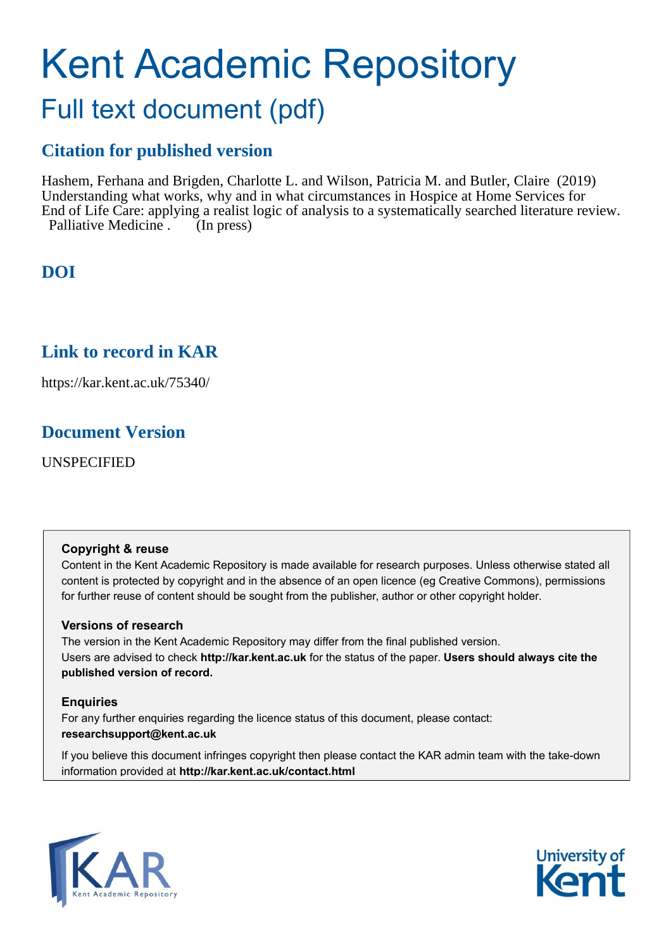# Kent Academic Repository Full text document (pdf)

## **Citation for published version**

Hashem, Ferhana and Brigden, Charlotte L. and Wilson, Patricia M. and Butler, Claire (2019) Understanding what works, why and in what circumstances in Hospice at Home Services for End of Life Care: applying a realist logic of analysis to a systematically searched literature review. Palliative Medicine . (In press)

### **DOI**

### **Link to record in KAR**

https://kar.kent.ac.uk/75340/

### **Document Version**

UNSPECIFIED

#### **Copyright & reuse**

Content in the Kent Academic Repository is made available for research purposes. Unless otherwise stated all content is protected by copyright and in the absence of an open licence (eg Creative Commons), permissions for further reuse of content should be sought from the publisher, author or other copyright holder.

#### **Versions of research**

The version in the Kent Academic Repository may differ from the final published version. Users are advised to check **http://kar.kent.ac.uk** for the status of the paper. **Users should always cite the published version of record.**

#### **Enquiries**

For any further enquiries regarding the licence status of this document, please contact: **researchsupport@kent.ac.uk**

If you believe this document infringes copyright then please contact the KAR admin team with the take-down information provided at **http://kar.kent.ac.uk/contact.html**



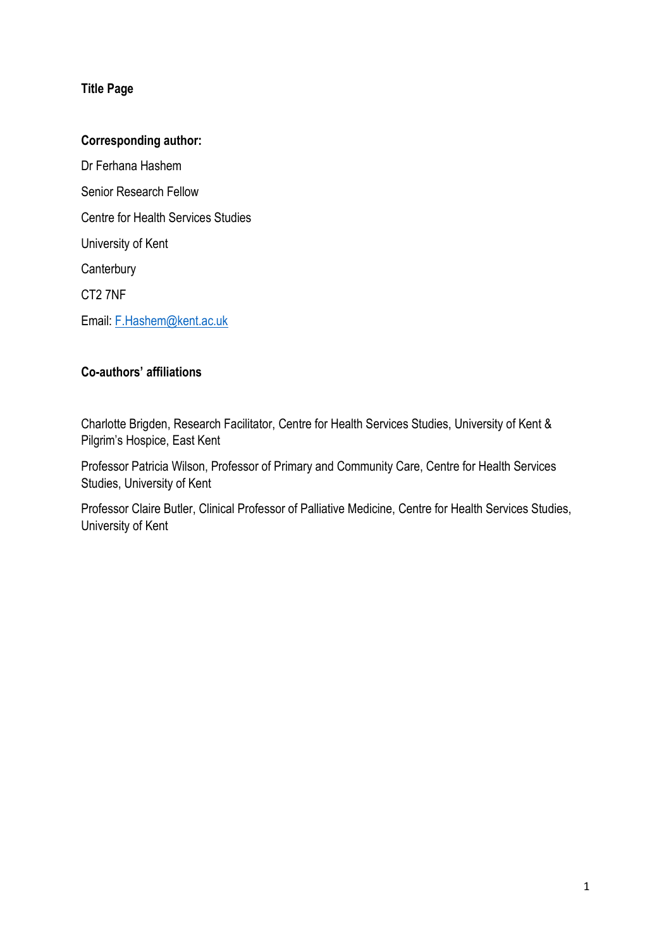#### **Title Page**

#### **Corresponding author:**

Dr Ferhana Hashem Senior Research Fellow Centre for Health Services Studies University of Kent **Canterbury** CT2 7NF Email: [F.Hashem@kent.ac.uk](mailto:F.Hashem@kent.ac.uk)

#### **Co-authors' affiliations**

Charlotte Brigden, Research Facilitator, Centre for Health Services Studies, University of Kent & Pilgrim's Hospice, East Kent

Professor Patricia Wilson, Professor of Primary and Community Care, Centre for Health Services Studies, University of Kent

Professor Claire Butler, Clinical Professor of Palliative Medicine, Centre for Health Services Studies, University of Kent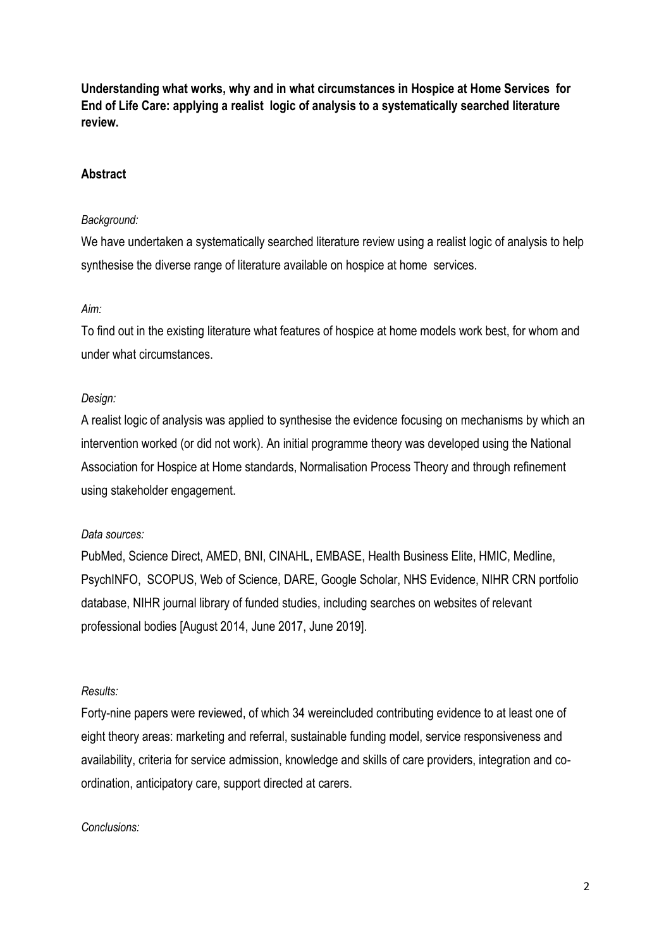**Understanding what works, why and in what circumstances in Hospice at Home Services for End of Life Care: applying a realist logic of analysis to a systematically searched literature review.**

#### **Abstract**

#### *Background:*

We have undertaken a systematically searched literature review using a realist logic of analysis to help synthesise the diverse range of literature available on hospice at home services.

#### *Aim:*

To find out in the existing literature what features of hospice at home models work best, for whom and under what circumstances.

#### *Design:*

A realist logic of analysis was applied to synthesise the evidence focusing on mechanisms by which an intervention worked (or did not work). An initial programme theory was developed using the National Association for Hospice at Home standards, Normalisation Process Theory and through refinement using stakeholder engagement.

#### *Data sources:*

PubMed, Science Direct, AMED, BNI, CINAHL, EMBASE, Health Business Elite, HMIC, Medline, PsychINFO, SCOPUS, Web of Science, DARE, Google Scholar, NHS Evidence, NIHR CRN portfolio database, NIHR journal library of funded studies, including searches on websites of relevant professional bodies [August 2014, June 2017, June 2019].

#### *Results:*

Forty-nine papers were reviewed, of which 34 wereincluded contributing evidence to at least one of eight theory areas: marketing and referral, sustainable funding model, service responsiveness and availability, criteria for service admission, knowledge and skills of care providers, integration and coordination, anticipatory care, support directed at carers.

#### *Conclusions:*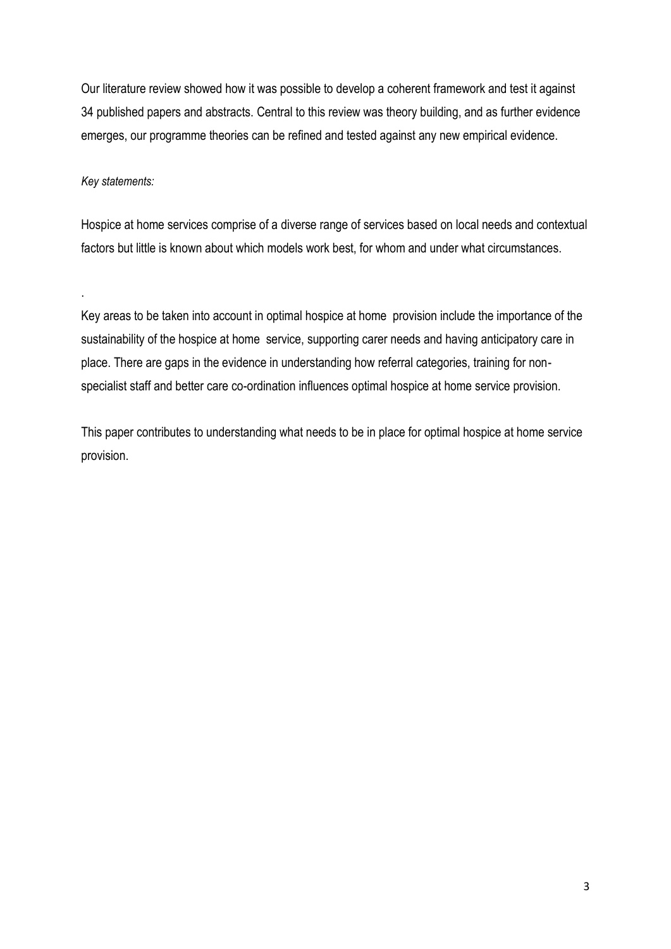Our literature review showed how it was possible to develop a coherent framework and test it against 34 published papers and abstracts. Central to this review was theory building, and as further evidence emerges, our programme theories can be refined and tested against any new empirical evidence.

#### *Key statements:*

.

Hospice at home services comprise of a diverse range of services based on local needs and contextual factors but little is known about which models work best, for whom and under what circumstances.

Key areas to be taken into account in optimal hospice at home provision include the importance of the sustainability of the hospice at home service, supporting carer needs and having anticipatory care in place. There are gaps in the evidence in understanding how referral categories, training for nonspecialist staff and better care co-ordination influences optimal hospice at home service provision.

This paper contributes to understanding what needs to be in place for optimal hospice at home service provision.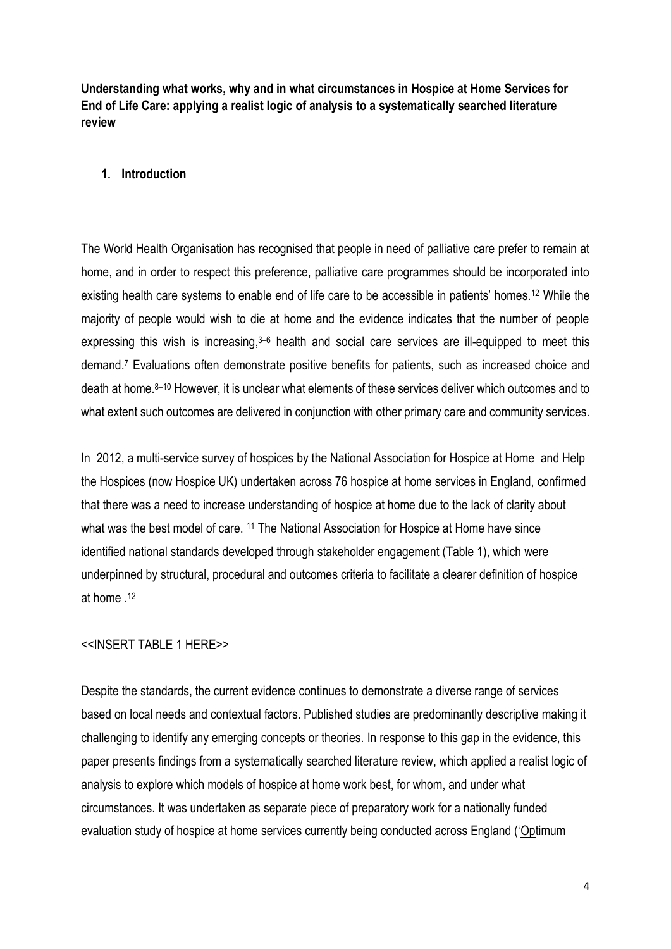**Understanding what works, why and in what circumstances in Hospice at Home Services for End of Life Care: applying a realist logic of analysis to a systematically searched literature review**

#### **1. Introduction**

The World Health Organisation has recognised that people in need of palliative care prefer to remain at home, and in order to respect this preference, palliative care programmes should be incorporated into existing health care systems to enable end of life care to be accessible in patients' homes.<sup>12</sup> While the majority of people would wish to die at home and the evidence indicates that the number of people expressing this wish is increasing,<sup>3–6</sup> health and social care services are ill-equipped to meet this demand. <sup>7</sup> Evaluations often demonstrate positive benefits for patients, such as increased choice and death at home. <sup>8</sup>–<sup>10</sup> However, it is unclear what elements of these services deliver which outcomes and to what extent such outcomes are delivered in conjunction with other primary care and community services.

In 2012, a multi-service survey of hospices by the National Association for Hospice at Home and Help the Hospices (now Hospice UK) undertaken across 76 hospice at home services in England, confirmed that there was a need to increase understanding of hospice at home due to the lack of clarity about what was the best model of care. <sup>11</sup> The National Association for Hospice at Home have since identified national standards developed through stakeholder engagement (Table 1), which were underpinned by structural, procedural and outcomes criteria to facilitate a clearer definition of hospice at home . 12

#### <<INSERT TABLE 1 HERE>>

Despite the standards, the current evidence continues to demonstrate a diverse range of services based on local needs and contextual factors. Published studies are predominantly descriptive making it challenging to identify any emerging concepts or theories. In response to this gap in the evidence, this paper presents findings from a systematically searched literature review, which applied a realist logic of analysis to explore which models of hospice at home work best, for whom, and under what circumstances. It was undertaken as separate piece of preparatory work for a nationally funded evaluation study of hospice at home services currently being conducted across England ('Optimum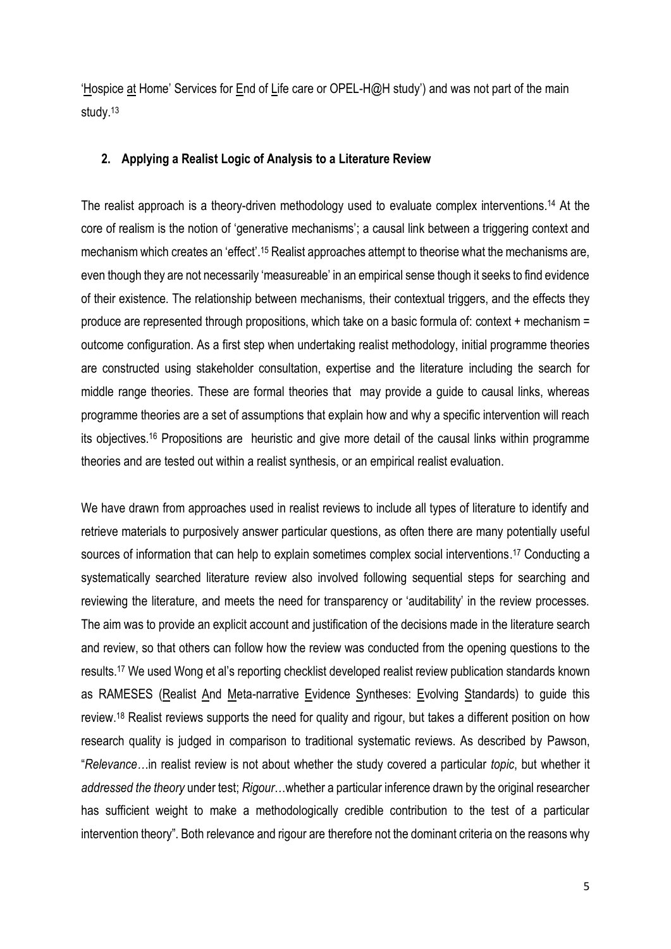'Hospice at Home' Services for End of Life care or OPEL-H@H study') and was not part of the main study. 13

#### **2. Applying a Realist Logic of Analysis to a Literature Review**

The realist approach is a theory-driven methodology used to evaluate complex interventions. <sup>14</sup> At the core of realism is the notion of 'generative mechanisms'; a causal link between a triggering context and mechanism which creates an 'effect'.<sup>15</sup> Realist approaches attempt to theorise what the mechanisms are, even though they are not necessarily 'measureable' in an empirical sense though it seeks to find evidence of their existence. The relationship between mechanisms, their contextual triggers, and the effects they produce are represented through propositions, which take on a basic formula of: context + mechanism = outcome configuration. As a first step when undertaking realist methodology, initial programme theories are constructed using stakeholder consultation, expertise and the literature including the search for middle range theories. These are formal theories that may provide a guide to causal links, whereas programme theories are a set of assumptions that explain how and why a specific intervention will reach its objectives.<sup>16</sup> Propositions are heuristic and give more detail of the causal links within programme theories and are tested out within a realist synthesis, or an empirical realist evaluation.

We have drawn from approaches used in realist reviews to include all types of literature to identify and retrieve materials to purposively answer particular questions, as often there are many potentially useful sources of information that can help to explain sometimes complex social interventions.<sup>17</sup> Conducting a systematically searched literature review also involved following sequential steps for searching and reviewing the literature, and meets the need for transparency or 'auditability' in the review processes. The aim was to provide an explicit account and justification of the decisions made in the literature search and review, so that others can follow how the review was conducted from the opening questions to the results.<sup>17</sup> We used Wong et al's reporting checklist developed realist review publication standards known as RAMESES (Realist And Meta-narrative Evidence Syntheses: Evolving Standards) to guide this review.<sup>18</sup> Realist reviews supports the need for quality and rigour, but takes a different position on how research quality is judged in comparison to traditional systematic reviews. As described by Pawson, "*Relevance…*in realist review is not about whether the study covered a particular *topic*, but whether it *addressed the theory* under test; *Rigour*…whether a particular inference drawn by the original researcher has sufficient weight to make a methodologically credible contribution to the test of a particular intervention theory". Both relevance and rigour are therefore not the dominant criteria on the reasons why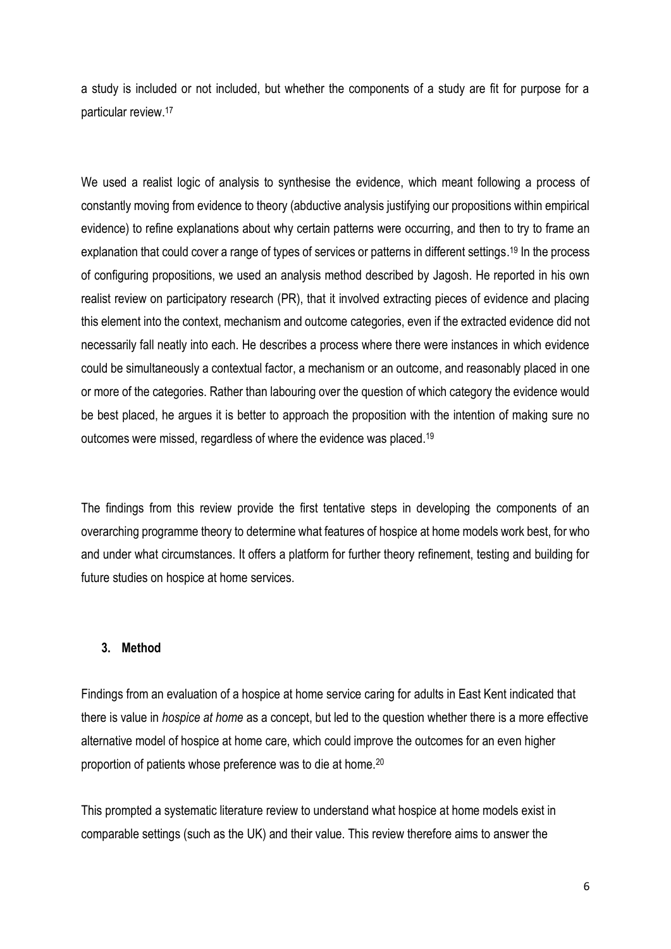a study is included or not included, but whether the components of a study are fit for purpose for a particular review.<sup>17</sup>

We used a realist logic of analysis to synthesise the evidence, which meant following a process of constantly moving from evidence to theory (abductive analysis justifying our propositions within empirical evidence) to refine explanations about why certain patterns were occurring, and then to try to frame an explanation that could cover a range of types of services or patterns in different settings.<sup>19</sup> In the process of configuring propositions, we used an analysis method described by Jagosh. He reported in his own realist review on participatory research (PR), that it involved extracting pieces of evidence and placing this element into the context, mechanism and outcome categories, even if the extracted evidence did not necessarily fall neatly into each. He describes a process where there were instances in which evidence could be simultaneously a contextual factor, a mechanism or an outcome, and reasonably placed in one or more of the categories. Rather than labouring over the question of which category the evidence would be best placed, he argues it is better to approach the proposition with the intention of making sure no outcomes were missed, regardless of where the evidence was placed.<sup>19</sup>

The findings from this review provide the first tentative steps in developing the components of an overarching programme theory to determine what features of hospice at home models work best, for who and under what circumstances. It offers a platform for further theory refinement, testing and building for future studies on hospice at home services.

#### **3. Method**

Findings from an evaluation of a hospice at home service caring for adults in East Kent indicated that there is value in *hospice at home* as a concept, but led to the question whether there is a more effective alternative model of hospice at home care, which could improve the outcomes for an even higher proportion of patients whose preference was to die at home.<sup>20</sup>

This prompted a systematic literature review to understand what hospice at home models exist in comparable settings (such as the UK) and their value. This review therefore aims to answer the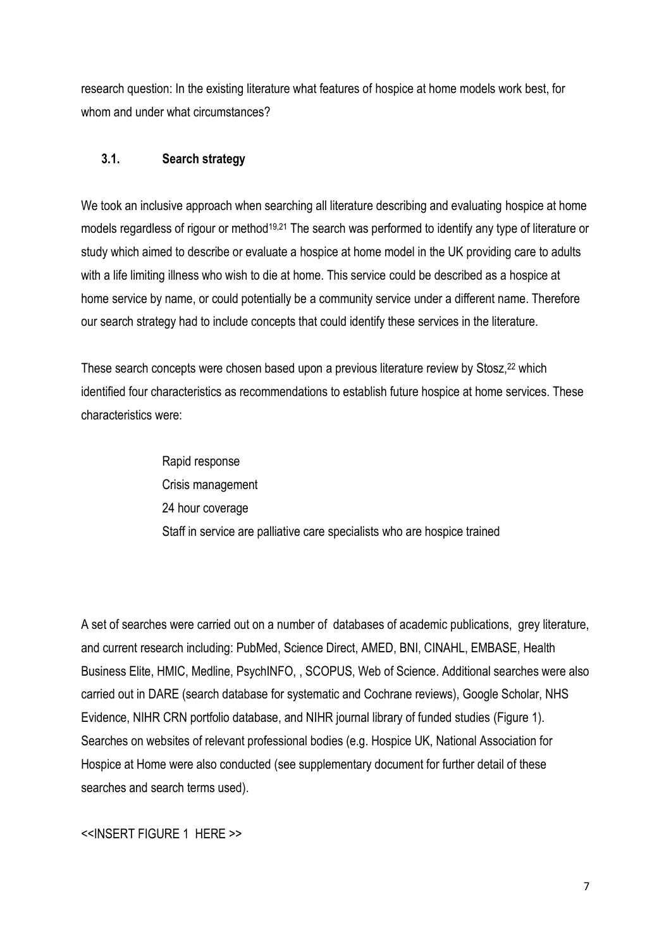research question: In the existing literature what features of hospice at home models work best, for whom and under what circumstances?

#### **3.1. Search strategy**

We took an inclusive approach when searching all literature describing and evaluating hospice at home models regardless of rigour or method<sup>19,21</sup> The search was performed to identify any type of literature or study which aimed to describe or evaluate a hospice at home model in the UK providing care to adults with a life limiting illness who wish to die at home. This service could be described as a hospice at home service by name, or could potentially be a community service under a different name. Therefore our search strategy had to include concepts that could identify these services in the literature.

These search concepts were chosen based upon a previous literature review by Stosz,<sup>22</sup> which identified four characteristics as recommendations to establish future hospice at home services. These characteristics were:

> Rapid response Crisis management 24 hour coverage Staff in service are palliative care specialists who are hospice trained

A set of searches were carried out on a number of databases of academic publications, grey literature, and current research including: PubMed, Science Direct, AMED, BNI, CINAHL, EMBASE, Health Business Elite, HMIC, Medline, PsychINFO, , SCOPUS, Web of Science. Additional searches were also carried out in DARE (search database for systematic and Cochrane reviews), Google Scholar, NHS Evidence, NIHR CRN portfolio database, and NIHR journal library of funded studies (Figure 1). Searches on websites of relevant professional bodies (e.g. Hospice UK, National Association for Hospice at Home were also conducted (see supplementary document for further detail of these searches and search terms used).

<<INSERT FIGURE 1 HERE >>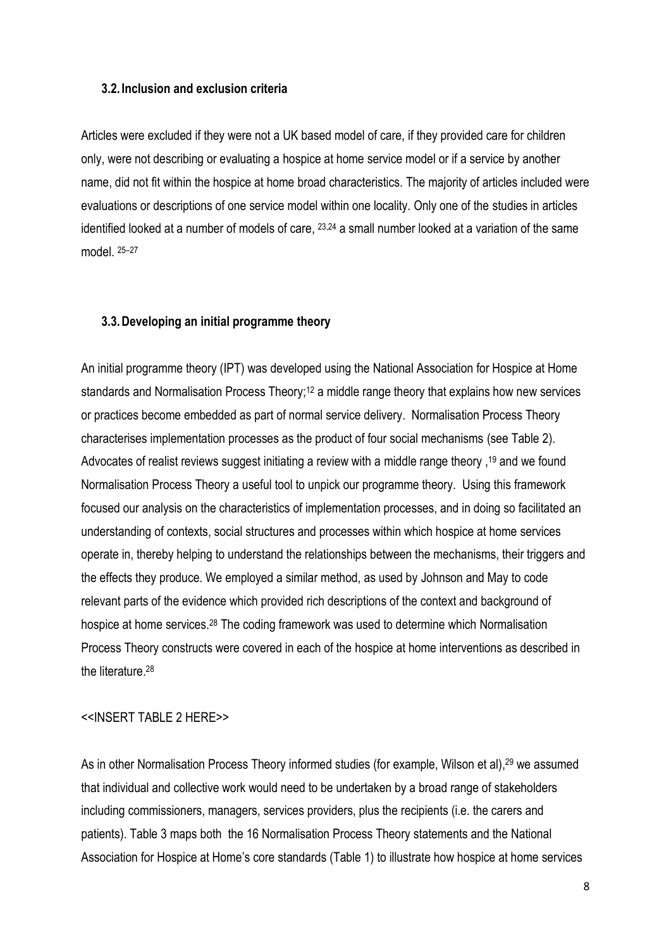#### **3.2. Inclusion and exclusion criteria**

Articles were excluded if they were not a UK based model of care, if they provided care for children only, were not describing or evaluating a hospice at home service model or if a service by another name, did not fit within the hospice at home broad characteristics. The majority of articles included were evaluations or descriptions of one service model within one locality. Only one of the studies in articles identified looked at a number of models of care, 23,24 a small number looked at a variation of the same model. 25–27

#### **3.3.Developing an initial programme theory**

An initial programme theory (IPT) was developed using the National Association for Hospice at Home standards and Normalisation Process Theory;<sup>12</sup> a middle range theory that explains how new services or practices become embedded as part of normal service delivery. Normalisation Process Theory characterises implementation processes as the product of four social mechanisms (see Table 2). Advocates of realist reviews suggest initiating a review with a middle range theory , <sup>19</sup> and we found Normalisation Process Theory a useful tool to unpick our programme theory. Using this framework focused our analysis on the characteristics of implementation processes, and in doing so facilitated an understanding of contexts, social structures and processes within which hospice at home services operate in, thereby helping to understand the relationships between the mechanisms, their triggers and the effects they produce. We employed a similar method, as used by Johnson and May to code relevant parts of the evidence which provided rich descriptions of the context and background of hospice at home services.<sup>28</sup> The coding framework was used to determine which Normalisation Process Theory constructs were covered in each of the hospice at home interventions as described in the literature. 28

#### <<INSERT TABLE 2 HERE>>

As in other Normalisation Process Theory informed studies (for example, Wilson et al),<sup>29</sup> we assumed that individual and collective work would need to be undertaken by a broad range of stakeholders including commissioners, managers, services providers, plus the recipients (i.e. the carers and patients). Table 3 maps both the 16 Normalisation Process Theory statements and the National Association for Hospice at Home's core standards (Table 1) to illustrate how hospice at home services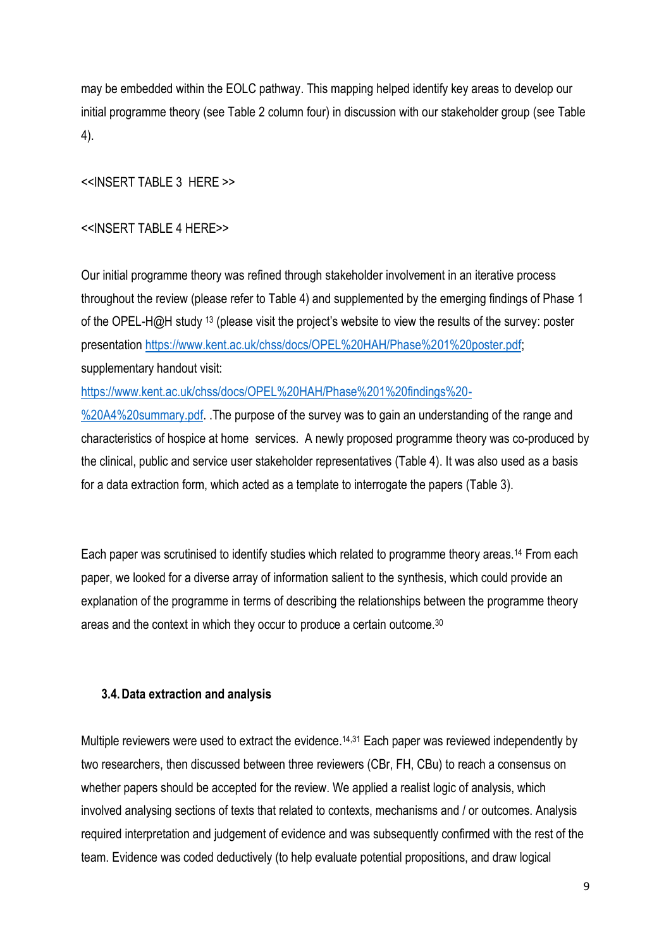may be embedded within the EOLC pathway. This mapping helped identify key areas to develop our initial programme theory (see Table 2 column four) in discussion with our stakeholder group (see Table 4).

<<INSERT TABLE 3 HERE >>

#### <<INSERT TABLE 4 HERE>>

Our initial programme theory was refined through stakeholder involvement in an iterative process throughout the review (please refer to Table 4) and supplemented by the emerging findings of Phase 1 of the OPEL-H@H study <sup>13</sup> (please visit the project's website to view the results of the survey: poster presentation [https://www.kent.ac.uk/chss/docs/OPEL%20HAH/Phase%201%20poster.pdf;](https://www.kent.ac.uk/chss/docs/OPEL%20HAH/Phase%201%20poster.pdf) supplementary handout visit:

[https://www.kent.ac.uk/chss/docs/OPEL%20HAH/Phase%201%20findings%20-](https://www.kent.ac.uk/chss/docs/OPEL%20HAH/Phase%201%20findings%20-%20A4%20summary.pdf)

%20A4%20 summary pdf. The purpose of the survey was to gain an understanding of the range and characteristics of hospice at home services. A newly proposed programme theory was co-produced by the clinical, public and service user stakeholder representatives (Table 4). It was also used as a basis for a data extraction form, which acted as a template to interrogate the papers (Table 3).

Each paper was scrutinised to identify studies which related to programme theory areas. <sup>14</sup> From each paper, we looked for a diverse array of information salient to the synthesis, which could provide an explanation of the programme in terms of describing the relationships between the programme theory areas and the context in which they occur to produce a certain outcome. 30

#### **3.4.Data extraction and analysis**

Multiple reviewers were used to extract the evidence.<sup>14,31</sup> Each paper was reviewed independently by two researchers, then discussed between three reviewers (CBr, FH, CBu) to reach a consensus on whether papers should be accepted for the review. We applied a realist logic of analysis, which involved analysing sections of texts that related to contexts, mechanisms and / or outcomes. Analysis required interpretation and judgement of evidence and was subsequently confirmed with the rest of the team. Evidence was coded deductively (to help evaluate potential propositions, and draw logical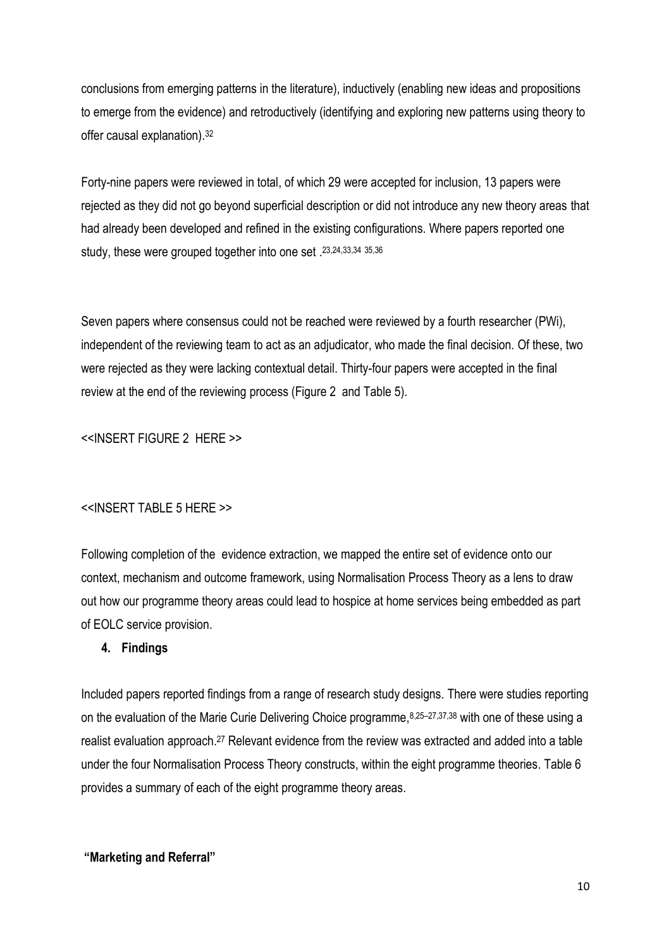conclusions from emerging patterns in the literature), inductively (enabling new ideas and propositions to emerge from the evidence) and retroductively (identifying and exploring new patterns using theory to offer causal explanation). 32

Forty-nine papers were reviewed in total, of which 29 were accepted for inclusion, 13 papers were rejected as they did not go beyond superficial description or did not introduce any new theory areas that had already been developed and refined in the existing configurations. Where papers reported one study, these were grouped together into one set . 23, 24, 33, 34 35, 36

Seven papers where consensus could not be reached were reviewed by a fourth researcher (PWi), independent of the reviewing team to act as an adjudicator, who made the final decision. Of these, two were rejected as they were lacking contextual detail. Thirty-four papers were accepted in the final review at the end of the reviewing process (Figure 2 and Table 5).

<<INSERT FIGURE 2 HERE >>

#### <<INSERT TABLE 5 HERE >>

Following completion of the evidence extraction, we mapped the entire set of evidence onto our context, mechanism and outcome framework, using Normalisation Process Theory as a lens to draw out how our programme theory areas could lead to hospice at home services being embedded as part of EOLC service provision.

#### **4. Findings**

Included papers reported findings from a range of research study designs. There were studies reporting on the evaluation of the Marie Curie Delivering Choice programme, 8,25–27,37,38 with one of these using a realist evaluation approach.<sup>27</sup> Relevant evidence from the review was extracted and added into a table under the four Normalisation Process Theory constructs, within the eight programme theories. Table 6 provides a summary of each of the eight programme theory areas.

#### **"Marketing and Referral"**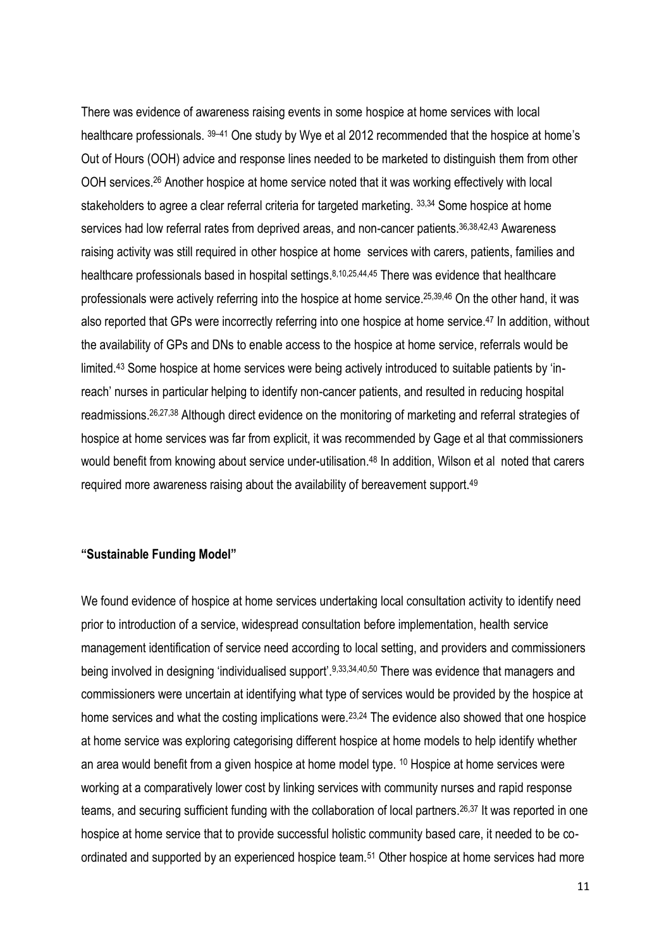There was evidence of awareness raising events in some hospice at home services with local healthcare professionals.  $39-41$  One study by Wye et al 2012 recommended that the hospice at home's Out of Hours (OOH) advice and response lines needed to be marketed to distinguish them from other OOH services.<sup>26</sup> Another hospice at home service noted that it was working effectively with local stakeholders to agree a clear referral criteria for targeted marketing. 33,34 Some hospice at home services had low referral rates from deprived areas, and non-cancer patients.<sup>36,38,42,43</sup> Awareness raising activity was still required in other hospice at home services with carers, patients, families and healthcare professionals based in hospital settings. 8,10,25,44,45 There was evidence that healthcare professionals were actively referring into the hospice at home service. 25,39,46 On the other hand, it was also reported that GPs were incorrectly referring into one hospice at home service. <sup>47</sup> In addition, without the availability of GPs and DNs to enable access to the hospice at home service, referrals would be limited.<sup>43</sup> Some hospice at home services were being actively introduced to suitable patients by 'inreach' nurses in particular helping to identify non-cancer patients, and resulted in reducing hospital readmissions. 26,27,38 Although direct evidence on the monitoring of marketing and referral strategies of hospice at home services was far from explicit, it was recommended by Gage et al that commissioners would benefit from knowing about service under-utilisation.<sup>48</sup> In addition, Wilson et al noted that carers required more awareness raising about the availability of bereavement support.<sup>49</sup>

#### **"Sustainable Funding Model"**

We found evidence of hospice at home services undertaking local consultation activity to identify need prior to introduction of a service, widespread consultation before implementation, health service management identification of service need according to local setting, and providers and commissioners being involved in designing 'individualised support'.9,33,34,40,50 There was evidence that managers and commissioners were uncertain at identifying what type of services would be provided by the hospice at home services and what the costing implications were.<sup>23,24</sup> The evidence also showed that one hospice at home service was exploring categorising different hospice at home models to help identify whether an area would benefit from a given hospice at home model type. <sup>10</sup> Hospice at home services were working at a comparatively lower cost by linking services with community nurses and rapid response teams, and securing sufficient funding with the collaboration of local partners. 26,37 It was reported in one hospice at home service that to provide successful holistic community based care, it needed to be coordinated and supported by an experienced hospice team.<sup>51</sup> Other hospice at home services had more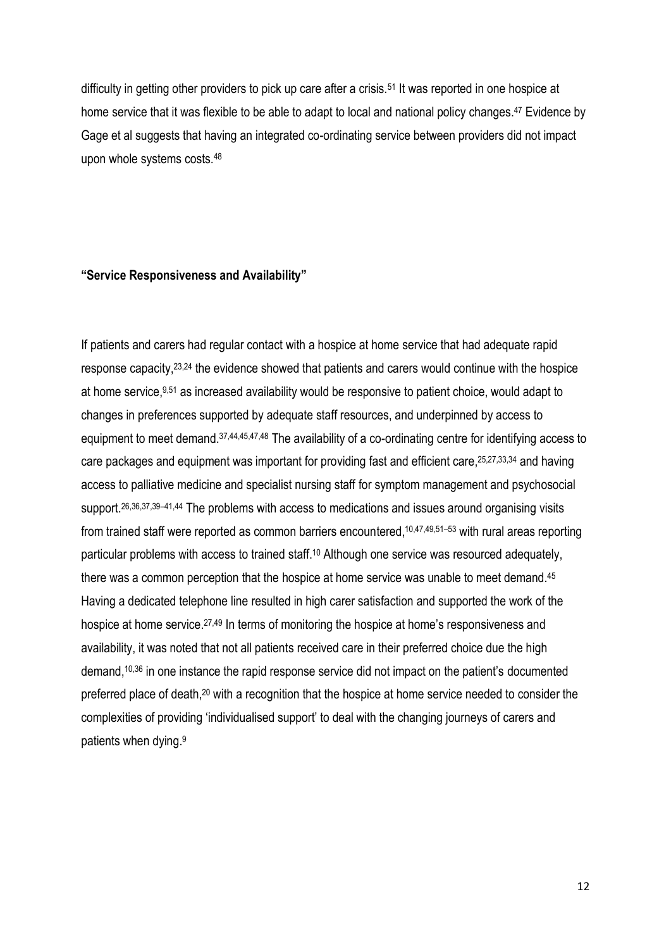difficulty in getting other providers to pick up care after a crisis.<sup>51</sup> It was reported in one hospice at home service that it was flexible to be able to adapt to local and national policy changes.<sup>47</sup> Evidence by Gage et al suggests that having an integrated co-ordinating service between providers did not impact upon whole systems costs.<sup>48</sup>

#### **"Service Responsiveness and Availability"**

If patients and carers had regular contact with a hospice at home service that had adequate rapid response capacity,23,24 the evidence showed that patients and carers would continue with the hospice at home service,<sup>9,51</sup> as increased availability would be responsive to patient choice, would adapt to changes in preferences supported by adequate staff resources, and underpinned by access to equipment to meet demand.<sup>37,44,45,47,48</sup> The availability of a co-ordinating centre for identifying access to care packages and equipment was important for providing fast and efficient care, <sup>25,27,33,34</sup> and having access to palliative medicine and specialist nursing staff for symptom management and psychosocial support.26,36,37,39–41,44 The problems with access to medications and issues around organising visits from trained staff were reported as common barriers encountered, <sup>10,47,49,51–53</sup> with rural areas reporting particular problems with access to trained staff. <sup>10</sup> Although one service was resourced adequately, there was a common perception that the hospice at home service was unable to meet demand.<sup>45</sup> Having a dedicated telephone line resulted in high carer satisfaction and supported the work of the hospice at home service.<sup>27,49</sup> In terms of monitoring the hospice at home's responsiveness and availability, it was noted that not all patients received care in their preferred choice due the high demand, 10,36 in one instance the rapid response service did not impact on the patient's documented preferred place of death,<sup>20</sup> with a recognition that the hospice at home service needed to consider the complexities of providing 'individualised support' to deal with the changing journeys of carers and patients when dying. 9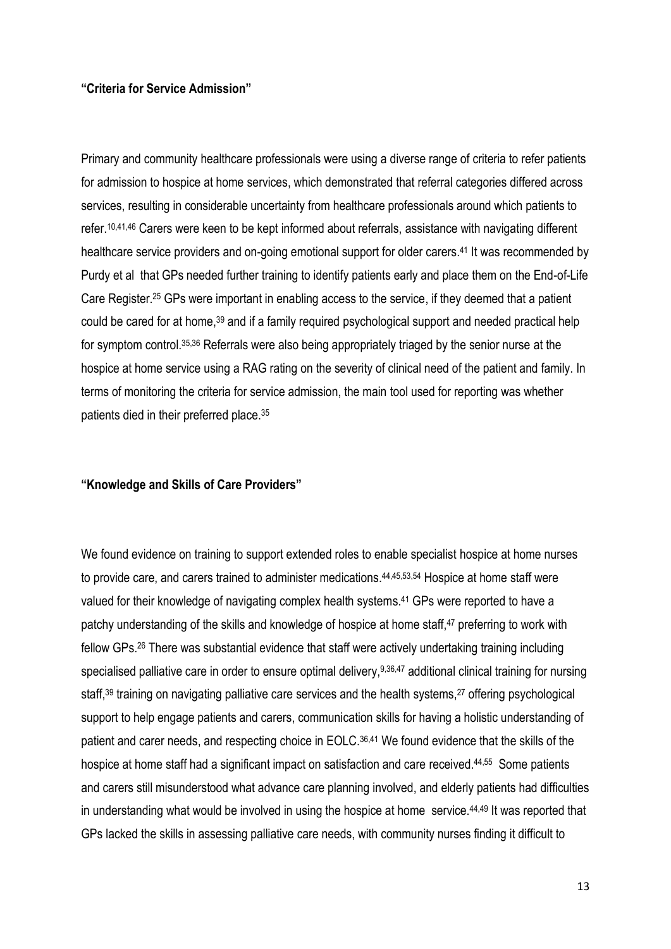#### **"Criteria for Service Admission"**

Primary and community healthcare professionals were using a diverse range of criteria to refer patients for admission to hospice at home services, which demonstrated that referral categories differed across services, resulting in considerable uncertainty from healthcare professionals around which patients to refer. 10,41,46 Carers were keen to be kept informed about referrals, assistance with navigating different healthcare service providers and on-going emotional support for older carers. <sup>41</sup> It was recommended by Purdy et al that GPs needed further training to identify patients early and place them on the End-of-Life Care Register. <sup>25</sup> GPs were important in enabling access to the service, if they deemed that a patient could be cared for at home, <sup>39</sup> and if a family required psychological support and needed practical help for symptom control. 35,36 Referrals were also being appropriately triaged by the senior nurse at the hospice at home service using a RAG rating on the severity of clinical need of the patient and family. In terms of monitoring the criteria for service admission, the main tool used for reporting was whether patients died in their preferred place.<sup>35</sup>

#### **"Knowledge and Skills of Care Providers"**

We found evidence on training to support extended roles to enable specialist hospice at home nurses to provide care, and carers trained to administer medications. 44,45,53,54 Hospice at home staff were valued for their knowledge of navigating complex health systems. <sup>41</sup> GPs were reported to have a patchy understanding of the skills and knowledge of hospice at home staff, <sup>47</sup> preferring to work with fellow GPs. <sup>26</sup> There was substantial evidence that staff were actively undertaking training including specialised palliative care in order to ensure optimal delivery, 9,36,47 additional clinical training for nursing staff,<sup>39</sup> training on navigating palliative care services and the health systems,<sup>27</sup> offering psychological support to help engage patients and carers, communication skills for having a holistic understanding of patient and carer needs, and respecting choice in EOLC. 36,41 We found evidence that the skills of the hospice at home staff had a significant impact on satisfaction and care received.<sup>44,55</sup> Some patients and carers still misunderstood what advance care planning involved, and elderly patients had difficulties in understanding what would be involved in using the hospice at home service.<sup>44,49</sup> It was reported that GPs lacked the skills in assessing palliative care needs, with community nurses finding it difficult to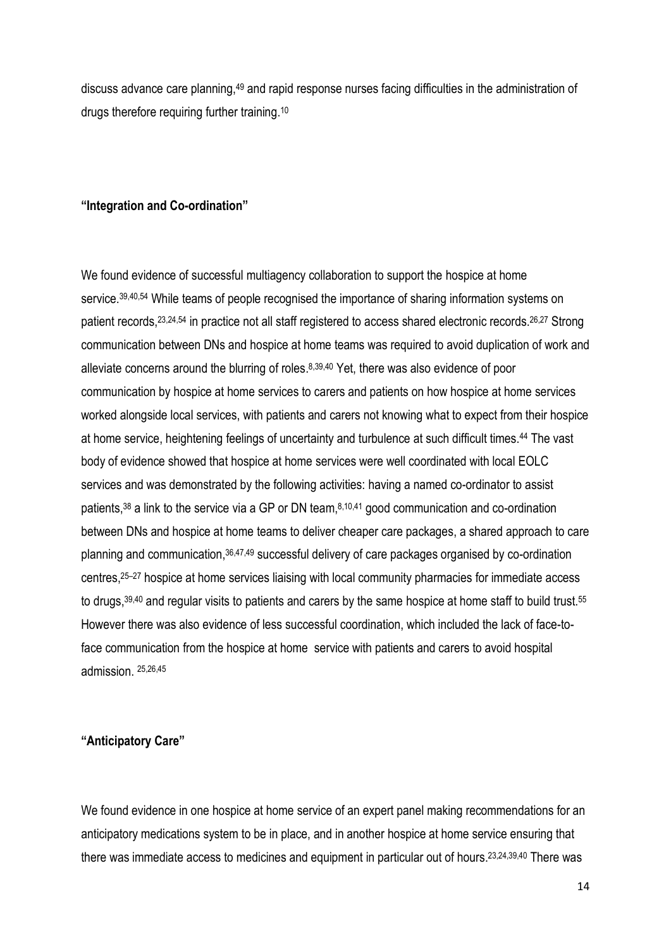discuss advance care planning,<sup>49</sup> and rapid response nurses facing difficulties in the administration of drugs therefore requiring further training. 10

#### **"Integration and Co-ordination"**

We found evidence of successful multiagency collaboration to support the hospice at home service.<sup>39,40,54</sup> While teams of people recognised the importance of sharing information systems on patient records, <sup>23, 24, 54</sup> in practice not all staff registered to access shared electronic records. <sup>26, 27</sup> Strong communication between DNs and hospice at home teams was required to avoid duplication of work and alleviate concerns around the blurring of roles. 8,39,40 Yet, there was also evidence of poor communication by hospice at home services to carers and patients on how hospice at home services worked alongside local services, with patients and carers not knowing what to expect from their hospice at home service, heightening feelings of uncertainty and turbulence at such difficult times. <sup>44</sup> The vast body of evidence showed that hospice at home services were well coordinated with local EOLC services and was demonstrated by the following activities: having a named co-ordinator to assist patients,<sup>38</sup> a link to the service via a GP or DN team,<sup>8,10,41</sup> good communication and co-ordination between DNs and hospice at home teams to deliver cheaper care packages, a shared approach to care planning and communication, 36,47,49 successful delivery of care packages organised by co-ordination centres, <sup>25</sup>–<sup>27</sup> hospice at home services liaising with local community pharmacies for immediate access to drugs, 39,40 and regular visits to patients and carers by the same hospice at home staff to build trust. 55 However there was also evidence of less successful coordination, which included the lack of face-toface communication from the hospice at home service with patients and carers to avoid hospital admission. 25,26,45

#### **"Anticipatory Care"**

We found evidence in one hospice at home service of an expert panel making recommendations for an anticipatory medications system to be in place, and in another hospice at home service ensuring that there was immediate access to medicines and equipment in particular out of hours. 23,24,39,40 There was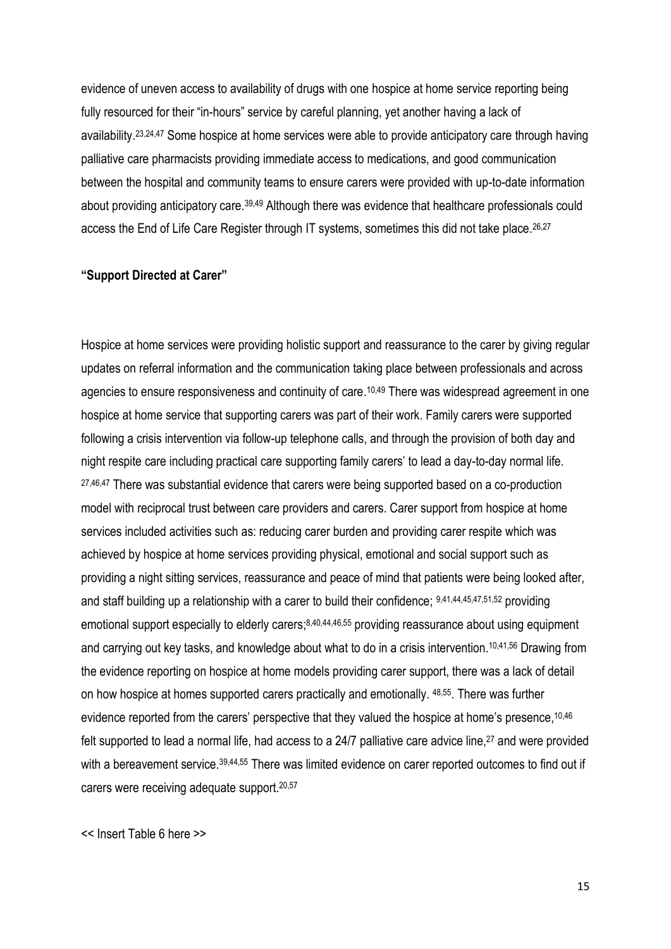evidence of uneven access to availability of drugs with one hospice at home service reporting being fully resourced for their "in-hours" service by careful planning, yet another having a lack of availability. 23,24,47 Some hospice at home services were able to provide anticipatory care through having palliative care pharmacists providing immediate access to medications, and good communication between the hospital and community teams to ensure carers were provided with up-to-date information about providing anticipatory care.39,49 Although there was evidence that healthcare professionals could access the End of Life Care Register through IT systems, sometimes this did not take place.<sup>26,27</sup>

#### **"Support Directed at Carer"**

Hospice at home services were providing holistic support and reassurance to the carer by giving regular updates on referral information and the communication taking place between professionals and across agencies to ensure responsiveness and continuity of care. 10,49 There was widespread agreement in one hospice at home service that supporting carers was part of their work. Family carers were supported following a crisis intervention via follow-up telephone calls, and through the provision of both day and night respite care including practical care supporting family carers' to lead a day-to-day normal life. 27,46,47 There was substantial evidence that carers were being supported based on a co-production model with reciprocal trust between care providers and carers. Carer support from hospice at home services included activities such as: reducing carer burden and providing carer respite which was achieved by hospice at home services providing physical, emotional and social support such as providing a night sitting services, reassurance and peace of mind that patients were being looked after, and staff building up a relationship with a carer to build their confidence; 9,41,44,45,47,51,52 providing emotional support especially to elderly carers;<sup>8,40,44,46,55</sup> providing reassurance about using equipment and carrying out key tasks, and knowledge about what to do in a crisis intervention. 10,41,56 Drawing from the evidence reporting on hospice at home models providing carer support, there was a lack of detail on how hospice at homes supported carers practically and emotionally. 48,55. There was further evidence reported from the carers' perspective that they valued the hospice at home's presence, 10,46 felt supported to lead a normal life, had access to a 24/7 palliative care advice line,<sup>27</sup> and were provided with a bereavement service.<sup>39,44,55</sup> There was limited evidence on carer reported outcomes to find out if carers were receiving adequate support. 20,57

<< Insert Table 6 here >>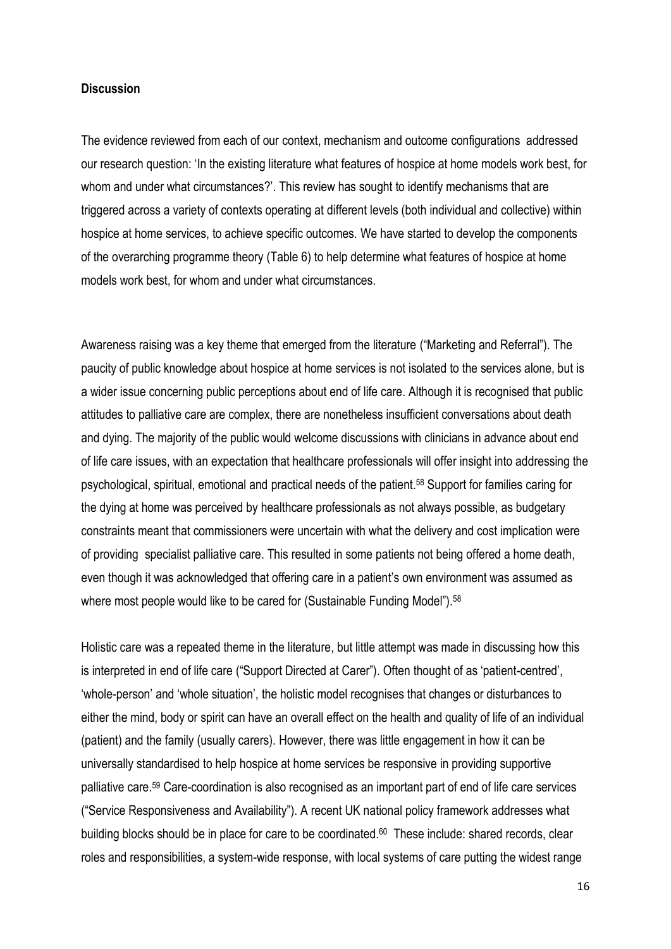#### **Discussion**

The evidence reviewed from each of our context, mechanism and outcome configurations addressed our research question: 'In the existing literature what features of hospice at home models work best, for whom and under what circumstances?'. This review has sought to identify mechanisms that are triggered across a variety of contexts operating at different levels (both individual and collective) within hospice at home services, to achieve specific outcomes. We have started to develop the components of the overarching programme theory (Table 6) to help determine what features of hospice at home models work best, for whom and under what circumstances.

Awareness raising was a key theme that emerged from the literature ("Marketing and Referral"). The paucity of public knowledge about hospice at home services is not isolated to the services alone, but is a wider issue concerning public perceptions about end of life care. Although it is recognised that public attitudes to palliative care are complex, there are nonetheless insufficient conversations about death and dying. The majority of the public would welcome discussions with clinicians in advance about end of life care issues, with an expectation that healthcare professionals will offer insight into addressing the psychological, spiritual, emotional and practical needs of the patient. <sup>58</sup> Support for families caring for the dying at home was perceived by healthcare professionals as not always possible, as budgetary constraints meant that commissioners were uncertain with what the delivery and cost implication were of providing specialist palliative care. This resulted in some patients not being offered a home death, even though it was acknowledged that offering care in a patient's own environment was assumed as where most people would like to be cared for (Sustainable Funding Model").<sup>58</sup>

Holistic care was a repeated theme in the literature, but little attempt was made in discussing how this is interpreted in end of life care ("Support Directed at Carer"). Often thought of as 'patient-centred', 'whole-person' and 'whole situation', the holistic model recognises that changes or disturbances to either the mind, body or spirit can have an overall effect on the health and quality of life of an individual (patient) and the family (usually carers). However, there was little engagement in how it can be universally standardised to help hospice at home services be responsive in providing supportive palliative care. <sup>59</sup> Care-coordination is also recognised as an important part of end of life care services ("Service Responsiveness and Availability"). A recent UK national policy framework addresses what building blocks should be in place for care to be coordinated.<sup>60</sup> These include: shared records, clear roles and responsibilities, a system-wide response, with local systems of care putting the widest range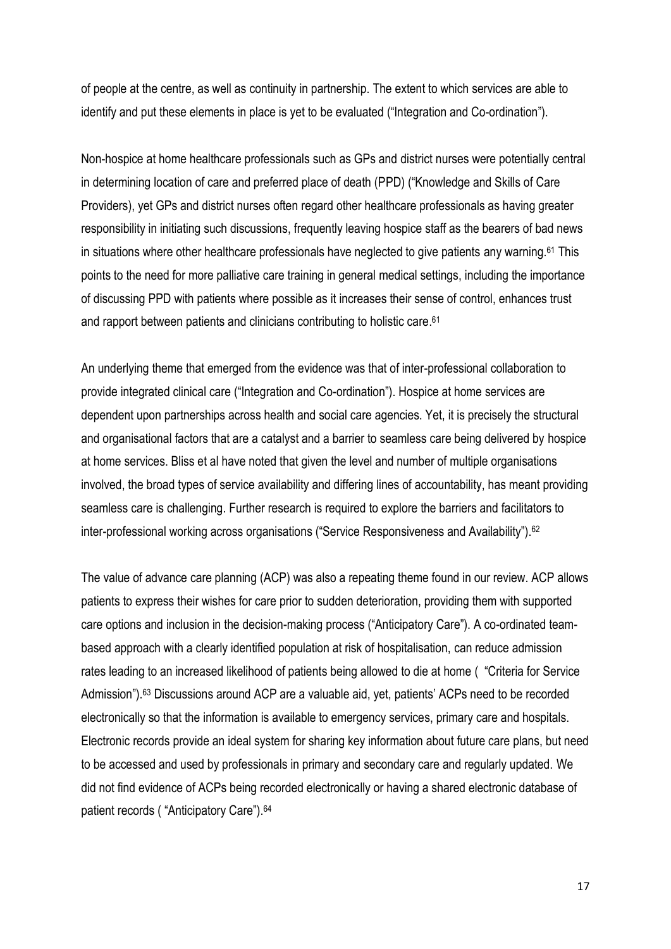of people at the centre, as well as continuity in partnership. The extent to which services are able to identify and put these elements in place is yet to be evaluated ("Integration and Co-ordination").

Non-hospice at home healthcare professionals such as GPs and district nurses were potentially central in determining location of care and preferred place of death (PPD) ("Knowledge and Skills of Care Providers), yet GPs and district nurses often regard other healthcare professionals as having greater responsibility in initiating such discussions, frequently leaving hospice staff as the bearers of bad news in situations where other healthcare professionals have neglected to give patients any warning.<sup>61</sup> This points to the need for more palliative care training in general medical settings, including the importance of discussing PPD with patients where possible as it increases their sense of control, enhances trust and rapport between patients and clinicians contributing to holistic care. 61

An underlying theme that emerged from the evidence was that of inter-professional collaboration to provide integrated clinical care ("Integration and Co-ordination"). Hospice at home services are dependent upon partnerships across health and social care agencies. Yet, it is precisely the structural and organisational factors that are a catalyst and a barrier to seamless care being delivered by hospice at home services. Bliss et al have noted that given the level and number of multiple organisations involved, the broad types of service availability and differing lines of accountability, has meant providing seamless care is challenging. Further research is required to explore the barriers and facilitators to inter-professional working across organisations ("Service Responsiveness and Availability"). <sup>62</sup>

The value of advance care planning (ACP) was also a repeating theme found in our review. ACP allows patients to express their wishes for care prior to sudden deterioration, providing them with supported care options and inclusion in the decision-making process ("Anticipatory Care"). A co-ordinated teambased approach with a clearly identified population at risk of hospitalisation, can reduce admission rates leading to an increased likelihood of patients being allowed to die at home ( "Criteria for Service Admission").<sup>63</sup> Discussions around ACP are a valuable aid, yet, patients' ACPs need to be recorded electronically so that the information is available to emergency services, primary care and hospitals. Electronic records provide an ideal system for sharing key information about future care plans, but need to be accessed and used by professionals in primary and secondary care and regularly updated. We did not find evidence of ACPs being recorded electronically or having a shared electronic database of patient records ( "Anticipatory Care"). 64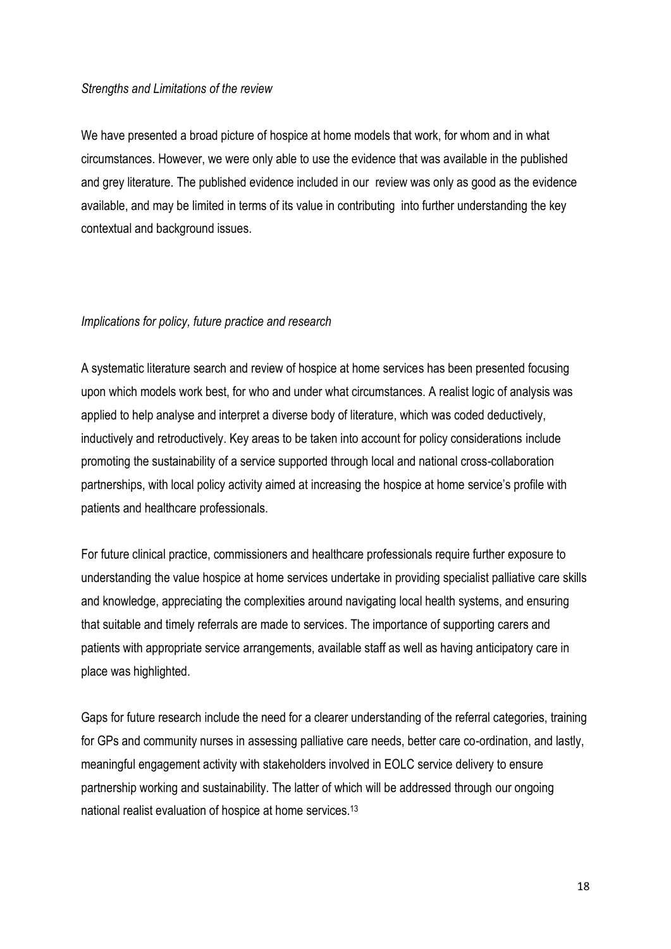#### *Strengths and Limitations of the review*

We have presented a broad picture of hospice at home models that work, for whom and in what circumstances. However, we were only able to use the evidence that was available in the published and grey literature. The published evidence included in our review was only as good as the evidence available, and may be limited in terms of its value in contributing into further understanding the key contextual and background issues.

#### *Implications for policy, future practice and research*

A systematic literature search and review of hospice at home services has been presented focusing upon which models work best, for who and under what circumstances. A realist logic of analysis was applied to help analyse and interpret a diverse body of literature, which was coded deductively, inductively and retroductively. Key areas to be taken into account for policy considerations include promoting the sustainability of a service supported through local and national cross-collaboration partnerships, with local policy activity aimed at increasing the hospice at home service's profile with patients and healthcare professionals.

For future clinical practice, commissioners and healthcare professionals require further exposure to understanding the value hospice at home services undertake in providing specialist palliative care skills and knowledge, appreciating the complexities around navigating local health systems, and ensuring that suitable and timely referrals are made to services. The importance of supporting carers and patients with appropriate service arrangements, available staff as well as having anticipatory care in place was highlighted.

Gaps for future research include the need for a clearer understanding of the referral categories, training for GPs and community nurses in assessing palliative care needs, better care co-ordination, and lastly, meaningful engagement activity with stakeholders involved in EOLC service delivery to ensure partnership working and sustainability. The latter of which will be addressed through our ongoing national realist evaluation of hospice at home services. 13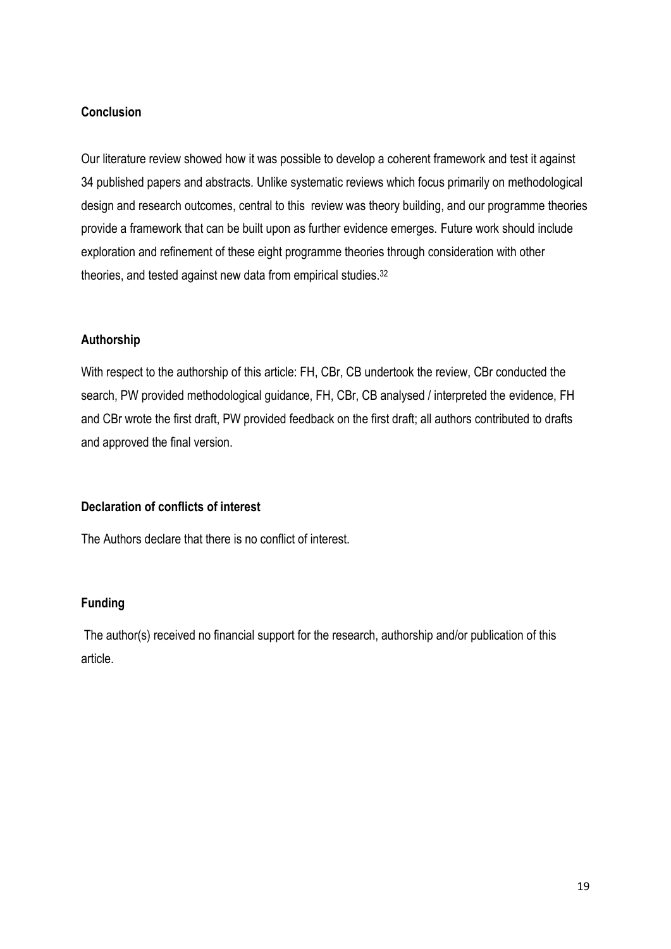#### **Conclusion**

Our literature review showed how it was possible to develop a coherent framework and test it against 34 published papers and abstracts. Unlike systematic reviews which focus primarily on methodological design and research outcomes, central to this review was theory building, and our programme theories provide a framework that can be built upon as further evidence emerges. Future work should include exploration and refinement of these eight programme theories through consideration with other theories, and tested against new data from empirical studies. 32

#### **Authorship**

With respect to the authorship of this article: FH, CBr, CB undertook the review, CBr conducted the search, PW provided methodological guidance, FH, CBr, CB analysed / interpreted the evidence, FH and CBr wrote the first draft, PW provided feedback on the first draft; all authors contributed to drafts and approved the final version.

#### **Declaration of conflicts of interest**

The Authors declare that there is no conflict of interest.

#### **Funding**

The author(s) received no financial support for the research, authorship and/or publication of this article.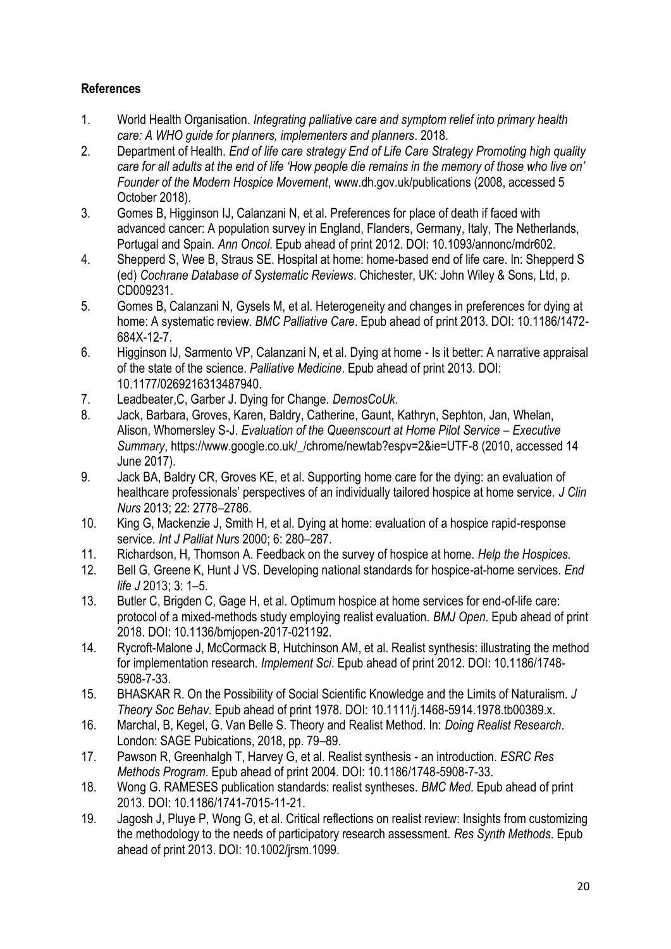### **References**

- 1. World Health Organisation. *Integrating palliative care and symptom relief into primary health care: A WHO guide for planners, implementers and planners*. 2018.
- 2. Department of Health. *End of life care strategy End of Life Care Strategy Promoting high quality care for all adults at the end of life 'How people die remains in the memory of those who live on' Founder of the Modern Hospice Movement*, www.dh.gov.uk/publications (2008, accessed 5 October 2018).
- 3. Gomes B, Higginson IJ, Calanzani N, et al. Preferences for place of death if faced with advanced cancer: A population survey in England, Flanders, Germany, Italy, The Netherlands, Portugal and Spain. *Ann Oncol*. Epub ahead of print 2012. DOI: 10.1093/annonc/mdr602.
- 4. Shepperd S, Wee B, Straus SE. Hospital at home: home-based end of life care. In: Shepperd S (ed) *Cochrane Database of Systematic Reviews*. Chichester, UK: John Wiley & Sons, Ltd, p. CD009231.
- 5. Gomes B, Calanzani N, Gysels M, et al. Heterogeneity and changes in preferences for dying at home: A systematic review. *BMC Palliative Care*. Epub ahead of print 2013. DOI: 10.1186/1472- 684X-12-7.
- 6. Higginson IJ, Sarmento VP, Calanzani N, et al. Dying at home Is it better: A narrative appraisal of the state of the science. *Palliative Medicine*. Epub ahead of print 2013. DOI: 10.1177/0269216313487940.
- 7. Leadbeater,C, Garber J. Dying for Change. *DemosCoUk*.
- 8. Jack, Barbara, Groves, Karen, Baldry, Catherine, Gaunt, Kathryn, Sephton, Jan, Whelan, Alison, Whomersley S-J. *Evaluation of the Queenscourt at Home Pilot Service – Executive Summary*, https://www.google.co.uk/\_/chrome/newtab?espv=2&ie=UTF-8 (2010, accessed 14 June 2017).
- 9. Jack BA, Baldry CR, Groves KE, et al. Supporting home care for the dying: an evaluation of healthcare professionals' perspectives of an individually tailored hospice at home service. *J Clin Nurs* 2013; 22: 2778–2786.
- 10. King G, Mackenzie J, Smith H, et al. Dying at home: evaluation of a hospice rapid-response service. *Int J Palliat Nurs* 2000; 6: 280–287.
- 11. Richardson, H, Thomson A. Feedback on the survey of hospice at home. *Help the Hospices.*
- 12. Bell G, Greene K, Hunt J VS. Developing national standards for hospice-at-home services. *End life J* 2013; 3: 1–5.
- 13. Butler C, Brigden C, Gage H, et al. Optimum hospice at home services for end-of-life care: protocol of a mixed-methods study employing realist evaluation. *BMJ Open*. Epub ahead of print 2018. DOI: 10.1136/bmjopen-2017-021192.
- 14. Rycroft-Malone J, McCormack B, Hutchinson AM, et al. Realist synthesis: illustrating the method for implementation research. *Implement Sci*. Epub ahead of print 2012. DOI: 10.1186/1748- 5908-7-33.
- 15. BHASKAR R. On the Possibility of Social Scientific Knowledge and the Limits of Naturalism. *J Theory Soc Behav*. Epub ahead of print 1978. DOI: 10.1111/j.1468-5914.1978.tb00389.x.
- 16. Marchal, B, Kegel, G. Van Belle S. Theory and Realist Method. In: *Doing Realist Research*. London: SAGE Pubications, 2018, pp. 79–89.
- 17. Pawson R, Greenhalgh T, Harvey G, et al. Realist synthesis an introduction. *ESRC Res Methods Program*. Epub ahead of print 2004. DOI: 10.1186/1748-5908-7-33.
- 18. Wong G. RAMESES publication standards: realist syntheses. *BMC Med*. Epub ahead of print 2013. DOI: 10.1186/1741-7015-11-21.
- 19. Jagosh J, Pluye P, Wong G, et al. Critical reflections on realist review: Insights from customizing the methodology to the needs of participatory research assessment. *Res Synth Methods*. Epub ahead of print 2013. DOI: 10.1002/jrsm.1099.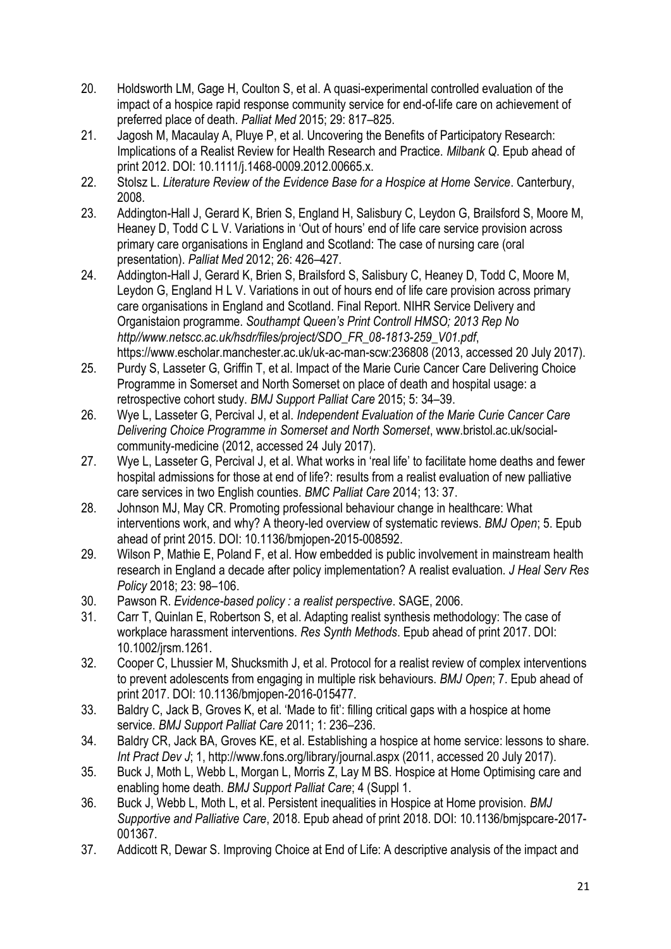- 20. Holdsworth LM, Gage H, Coulton S, et al. A quasi-experimental controlled evaluation of the impact of a hospice rapid response community service for end-of-life care on achievement of preferred place of death. *Palliat Med* 2015; 29: 817–825.
- 21. Jagosh M, Macaulay A, Pluye P, et al. Uncovering the Benefits of Participatory Research: Implications of a Realist Review for Health Research and Practice. *Milbank Q*. Epub ahead of print 2012. DOI: 10.1111/j.1468-0009.2012.00665.x.
- 22. Stolsz L. *Literature Review of the Evidence Base for a Hospice at Home Service*. Canterbury, 2008.
- 23. Addington-Hall J, Gerard K, Brien S, England H, Salisbury C, Leydon G, Brailsford S, Moore M, Heaney D, Todd C L V. Variations in 'Out of hours' end of life care service provision across primary care organisations in England and Scotland: The case of nursing care (oral presentation). *Palliat Med* 2012; 26: 426–427.
- 24. Addington-Hall J, Gerard K, Brien S, Brailsford S, Salisbury C, Heaney D, Todd C, Moore M, Leydon G, England H L V. Variations in out of hours end of life care provision across primary care organisations in England and Scotland. Final Report. NIHR Service Delivery and Organistaion programme. *Southampt Queen's Print Controll HMSO; 2013 Rep No http//www.netscc.ac.uk/hsdr/files/project/SDO\_FR\_08-1813-259\_V01.pdf*, https://www.escholar.manchester.ac.uk/uk-ac-man-scw:236808 (2013, accessed 20 July 2017).
- 25. Purdy S, Lasseter G, Griffin T, et al. Impact of the Marie Curie Cancer Care Delivering Choice Programme in Somerset and North Somerset on place of death and hospital usage: a retrospective cohort study. *BMJ Support Palliat Care* 2015; 5: 34–39.
- 26. Wye L, Lasseter G, Percival J, et al. *Independent Evaluation of the Marie Curie Cancer Care Delivering Choice Programme in Somerset and North Somerset*, www.bristol.ac.uk/socialcommunity-medicine (2012, accessed 24 July 2017).
- 27. Wye L, Lasseter G, Percival J, et al. What works in 'real life' to facilitate home deaths and fewer hospital admissions for those at end of life?: results from a realist evaluation of new palliative care services in two English counties. *BMC Palliat Care* 2014; 13: 37.
- 28. Johnson MJ, May CR. Promoting professional behaviour change in healthcare: What interventions work, and why? A theory-led overview of systematic reviews. *BMJ Open*; 5. Epub ahead of print 2015. DOI: 10.1136/bmjopen-2015-008592.
- 29. Wilson P, Mathie E, Poland F, et al. How embedded is public involvement in mainstream health research in England a decade after policy implementation? A realist evaluation. *J Heal Serv Res Policy* 2018; 23: 98–106.
- 30. Pawson R. *Evidence-based policy : a realist perspective*. SAGE, 2006.
- 31. Carr T, Quinlan E, Robertson S, et al. Adapting realist synthesis methodology: The case of workplace harassment interventions. *Res Synth Methods*. Epub ahead of print 2017. DOI: 10.1002/jrsm.1261.
- 32. Cooper C, Lhussier M, Shucksmith J, et al. Protocol for a realist review of complex interventions to prevent adolescents from engaging in multiple risk behaviours. *BMJ Open*; 7. Epub ahead of print 2017. DOI: 10.1136/bmjopen-2016-015477.
- 33. Baldry C, Jack B, Groves K, et al. 'Made to fit': filling critical gaps with a hospice at home service. *BMJ Support Palliat Care* 2011; 1: 236–236.
- 34. Baldry CR, Jack BA, Groves KE, et al. Establishing a hospice at home service: lessons to share. *Int Pract Dev J*; 1, http://www.fons.org/library/journal.aspx (2011, accessed 20 July 2017).
- 35. Buck J, Moth L, Webb L, Morgan L, Morris Z, Lay M BS. Hospice at Home Optimising care and enabling home death. *BMJ Support Palliat Care*; 4 (Suppl 1.
- 36. Buck J, Webb L, Moth L, et al. Persistent inequalities in Hospice at Home provision. *BMJ Supportive and Palliative Care*, 2018. Epub ahead of print 2018. DOI: 10.1136/bmjspcare-2017- 001367.
- 37. Addicott R, Dewar S. Improving Choice at End of Life: A descriptive analysis of the impact and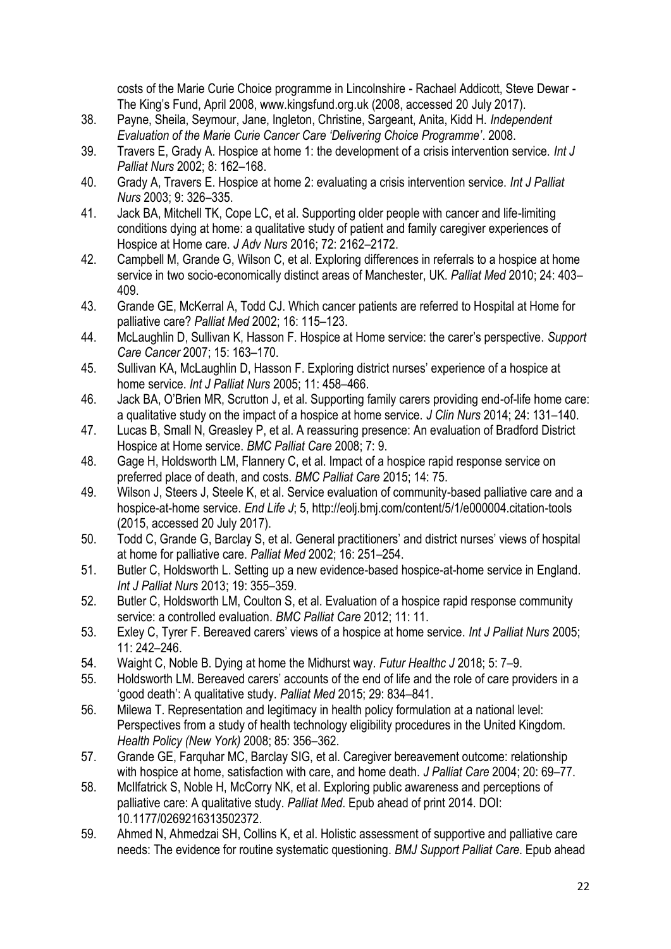costs of the Marie Curie Choice programme in Lincolnshire - Rachael Addicott, Steve Dewar - The King's Fund, April 2008, www.kingsfund.org.uk (2008, accessed 20 July 2017).

- 38. Payne, Sheila, Seymour, Jane, Ingleton, Christine, Sargeant, Anita, Kidd H. *Independent Evaluation of the Marie Curie Cancer Care 'Delivering Choice Programme'*. 2008.
- 39. Travers E, Grady A. Hospice at home 1: the development of a crisis intervention service. *Int J Palliat Nurs* 2002; 8: 162–168.
- 40. Grady A, Travers E. Hospice at home 2: evaluating a crisis intervention service. *Int J Palliat Nurs* 2003; 9: 326–335.
- 41. Jack BA, Mitchell TK, Cope LC, et al. Supporting older people with cancer and life-limiting conditions dying at home: a qualitative study of patient and family caregiver experiences of Hospice at Home care. *J Adv Nurs* 2016; 72: 2162–2172.
- 42. Campbell M, Grande G, Wilson C, et al. Exploring differences in referrals to a hospice at home service in two socio-economically distinct areas of Manchester, UK. *Palliat Med* 2010; 24: 403– 409.
- 43. Grande GE, McKerral A, Todd CJ. Which cancer patients are referred to Hospital at Home for palliative care? *Palliat Med* 2002; 16: 115–123.
- 44. McLaughlin D, Sullivan K, Hasson F. Hospice at Home service: the carer's perspective. *Support Care Cancer* 2007; 15: 163–170.
- 45. Sullivan KA, McLaughlin D, Hasson F. Exploring district nurses' experience of a hospice at home service. *Int J Palliat Nurs* 2005; 11: 458–466.
- 46. Jack BA, O'Brien MR, Scrutton J, et al. Supporting family carers providing end-of-life home care: a qualitative study on the impact of a hospice at home service. *J Clin Nurs* 2014; 24: 131–140.
- 47. Lucas B, Small N, Greasley P, et al. A reassuring presence: An evaluation of Bradford District Hospice at Home service. *BMC Palliat Care* 2008; 7: 9.
- 48. Gage H, Holdsworth LM, Flannery C, et al. Impact of a hospice rapid response service on preferred place of death, and costs. *BMC Palliat Care* 2015; 14: 75.
- 49. Wilson J, Steers J, Steele K, et al. Service evaluation of community-based palliative care and a hospice-at-home service. *End Life J*; 5, http://eolj.bmj.com/content/5/1/e000004.citation-tools (2015, accessed 20 July 2017).
- 50. Todd C, Grande G, Barclay S, et al. General practitioners' and district nurses' views of hospital at home for palliative care. *Palliat Med* 2002; 16: 251–254.
- 51. Butler C, Holdsworth L. Setting up a new evidence-based hospice-at-home service in England. *Int J Palliat Nurs* 2013; 19: 355–359.
- 52. Butler C, Holdsworth LM, Coulton S, et al. Evaluation of a hospice rapid response community service: a controlled evaluation. *BMC Palliat Care* 2012; 11: 11.
- 53. Exley C, Tyrer F. Bereaved carers' views of a hospice at home service. *Int J Palliat Nurs* 2005; 11: 242–246.
- 54. Waight C, Noble B. Dying at home the Midhurst way. *Futur Healthc J* 2018; 5: 7–9.
- 55. Holdsworth LM. Bereaved carers' accounts of the end of life and the role of care providers in a 'good death': A qualitative study. *Palliat Med* 2015; 29: 834–841.
- 56. Milewa T. Representation and legitimacy in health policy formulation at a national level: Perspectives from a study of health technology eligibility procedures in the United Kingdom. *Health Policy (New York)* 2008; 85: 356–362.
- 57. Grande GE, Farquhar MC, Barclay SIG, et al. Caregiver bereavement outcome: relationship with hospice at home, satisfaction with care, and home death. *J Palliat Care* 2004; 20: 69–77.
- 58. McIlfatrick S, Noble H, McCorry NK, et al. Exploring public awareness and perceptions of palliative care: A qualitative study. *Palliat Med*. Epub ahead of print 2014. DOI: 10.1177/0269216313502372.
- 59. Ahmed N, Ahmedzai SH, Collins K, et al. Holistic assessment of supportive and palliative care needs: The evidence for routine systematic questioning. *BMJ Support Palliat Care*. Epub ahead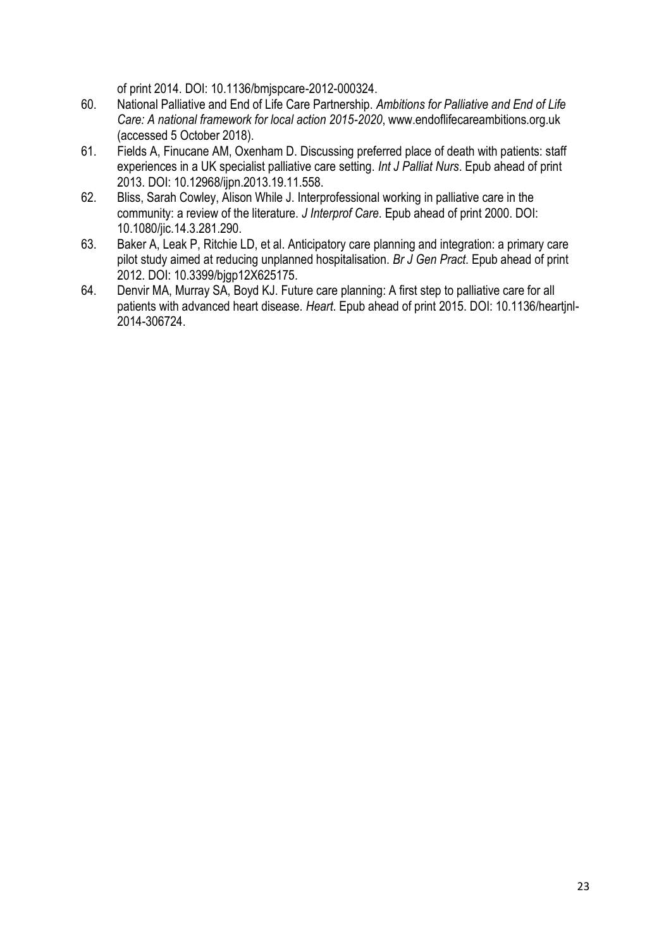of print 2014. DOI: 10.1136/bmjspcare-2012-000324.

- 60. National Palliative and End of Life Care Partnership. *Ambitions for Palliative and End of Life Care: A national framework for local action 2015-2020*, www.endoflifecareambitions.org.uk (accessed 5 October 2018).
- 61. Fields A, Finucane AM, Oxenham D. Discussing preferred place of death with patients: staff experiences in a UK specialist palliative care setting. *Int J Palliat Nurs*. Epub ahead of print 2013. DOI: 10.12968/ijpn.2013.19.11.558.
- 62. Bliss, Sarah Cowley, Alison While J. Interprofessional working in palliative care in the community: a review of the literature. *J Interprof Care*. Epub ahead of print 2000. DOI: 10.1080/jic.14.3.281.290.
- 63. Baker A, Leak P, Ritchie LD, et al. Anticipatory care planning and integration: a primary care pilot study aimed at reducing unplanned hospitalisation. *Br J Gen Pract*. Epub ahead of print 2012. DOI: 10.3399/bjgp12X625175.
- 64. Denvir MA, Murray SA, Boyd KJ. Future care planning: A first step to palliative care for all patients with advanced heart disease. *Heart*. Epub ahead of print 2015. DOI: 10.1136/heartjnl-2014-306724.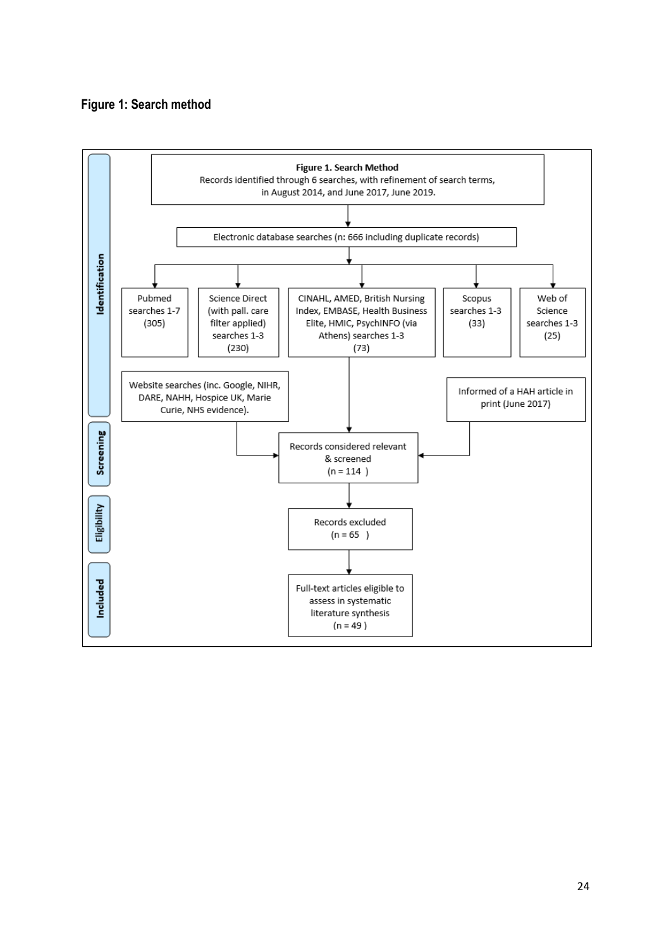#### **Figure 1: Search method**

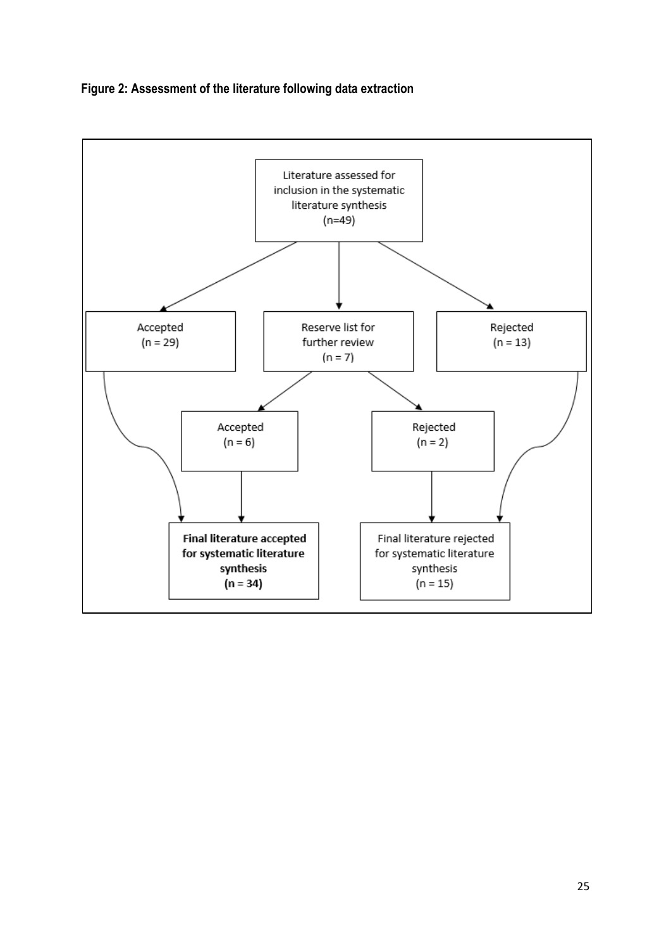

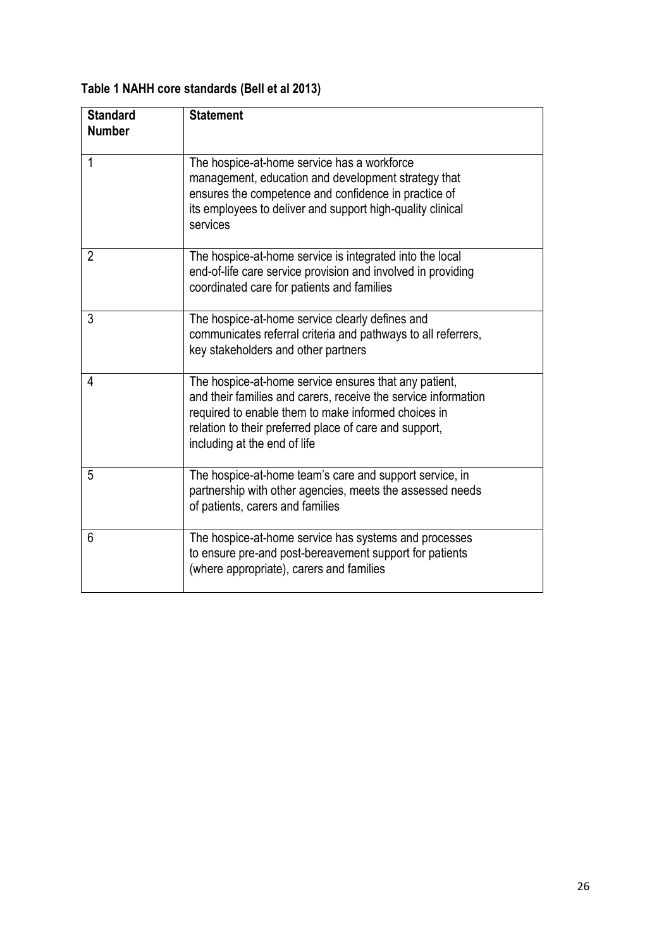| <b>Standard</b><br><b>Number</b> | <b>Statement</b>                                                                                                                                                                                                                                                         |
|----------------------------------|--------------------------------------------------------------------------------------------------------------------------------------------------------------------------------------------------------------------------------------------------------------------------|
| 1                                | The hospice-at-home service has a workforce<br>management, education and development strategy that<br>ensures the competence and confidence in practice of<br>its employees to deliver and support high-quality clinical<br>services                                     |
| $\overline{2}$                   | The hospice-at-home service is integrated into the local<br>end-of-life care service provision and involved in providing<br>coordinated care for patients and families                                                                                                   |
| 3                                | The hospice-at-home service clearly defines and<br>communicates referral criteria and pathways to all referrers,<br>key stakeholders and other partners                                                                                                                  |
| 4                                | The hospice-at-home service ensures that any patient,<br>and their families and carers, receive the service information<br>required to enable them to make informed choices in<br>relation to their preferred place of care and support,<br>including at the end of life |
| 5                                | The hospice-at-home team's care and support service, in<br>partnership with other agencies, meets the assessed needs<br>of patients, carers and families                                                                                                                 |
| 6                                | The hospice-at-home service has systems and processes<br>to ensure pre-and post-bereavement support for patients<br>(where appropriate), carers and families                                                                                                             |

### **Table 1 NAHH core standards (Bell et al 2013)**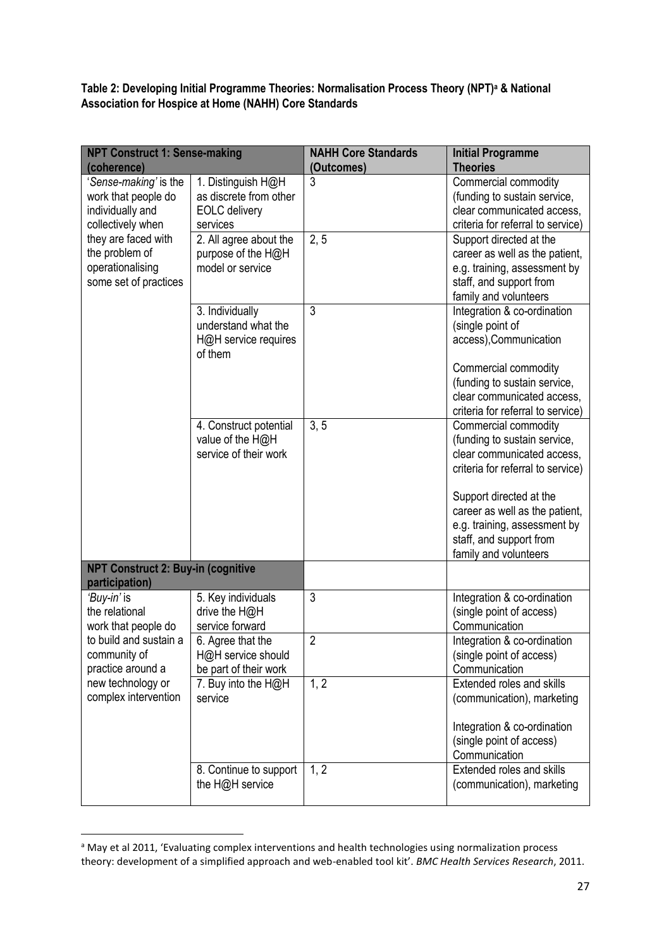**Table 2: Developing Initial Programme Theories: Normalisation Process Theory (NPT)<sup>a</sup> & National Association for Hospice at Home (NAHH) Core Standards**

| <b>NPT Construct 1: Sense-making</b><br>(coherence)                                   |                                                                                  | <b>NAHH Core Standards</b><br>(Outcomes) | <b>Initial Programme</b><br><b>Theories</b>                                                                                                                                                                                                                              |
|---------------------------------------------------------------------------------------|----------------------------------------------------------------------------------|------------------------------------------|--------------------------------------------------------------------------------------------------------------------------------------------------------------------------------------------------------------------------------------------------------------------------|
| 'Sense-making' is the<br>work that people do<br>individually and<br>collectively when | 1. Distinguish H@H<br>as discrete from other<br><b>EOLC</b> delivery<br>services | 3                                        | Commercial commodity<br>(funding to sustain service,<br>clear communicated access,<br>criteria for referral to service)                                                                                                                                                  |
| they are faced with<br>the problem of<br>operationalising<br>some set of practices    | 2. All agree about the<br>purpose of the H@H<br>model or service                 | 2, 5                                     | Support directed at the<br>career as well as the patient,<br>e.g. training, assessment by<br>staff, and support from<br>family and volunteers                                                                                                                            |
|                                                                                       | 3. Individually<br>understand what the<br>H@H service requires<br>of them        | 3                                        | Integration & co-ordination<br>(single point of<br>access), Communication<br>Commercial commodity<br>(funding to sustain service,<br>clear communicated access,<br>criteria for referral to service)                                                                     |
|                                                                                       | 4. Construct potential<br>value of the H@H<br>service of their work              | 3, 5                                     | Commercial commodity<br>(funding to sustain service,<br>clear communicated access.<br>criteria for referral to service)<br>Support directed at the<br>career as well as the patient,<br>e.g. training, assessment by<br>staff, and support from<br>family and volunteers |
| <b>NPT Construct 2: Buy-in (cognitive</b><br>participation)                           |                                                                                  |                                          |                                                                                                                                                                                                                                                                          |
| 'Buy-in' is<br>the relational<br>work that people do                                  | 5. Key individuals<br>drive the H@H<br>service forward                           | 3                                        | Integration & co-ordination<br>(single point of access)<br>Communication                                                                                                                                                                                                 |
| to build and sustain a<br>community of<br>practice around a                           | 6. Agree that the<br>H@H service should<br>be part of their work                 | $\overline{2}$                           | Integration & co-ordination<br>(single point of access)<br>Communication                                                                                                                                                                                                 |
| new technology or<br>complex intervention                                             | 7. Buy into the H@H<br>service                                                   | 1, 2                                     | Extended roles and skills<br>(communication), marketing<br>Integration & co-ordination<br>(single point of access)<br>Communication                                                                                                                                      |
|                                                                                       | 8. Continue to support<br>the H@H service                                        | 1, 2                                     | Extended roles and skills<br>(communication), marketing                                                                                                                                                                                                                  |

<sup>&</sup>lt;sup>a</sup> May et al 2011, 'Evaluating complex interventions and health technologies using normalization process theory: development of a simplified approach and web-enabled tool kit'. *BMC Health Services Research*, 2011.

1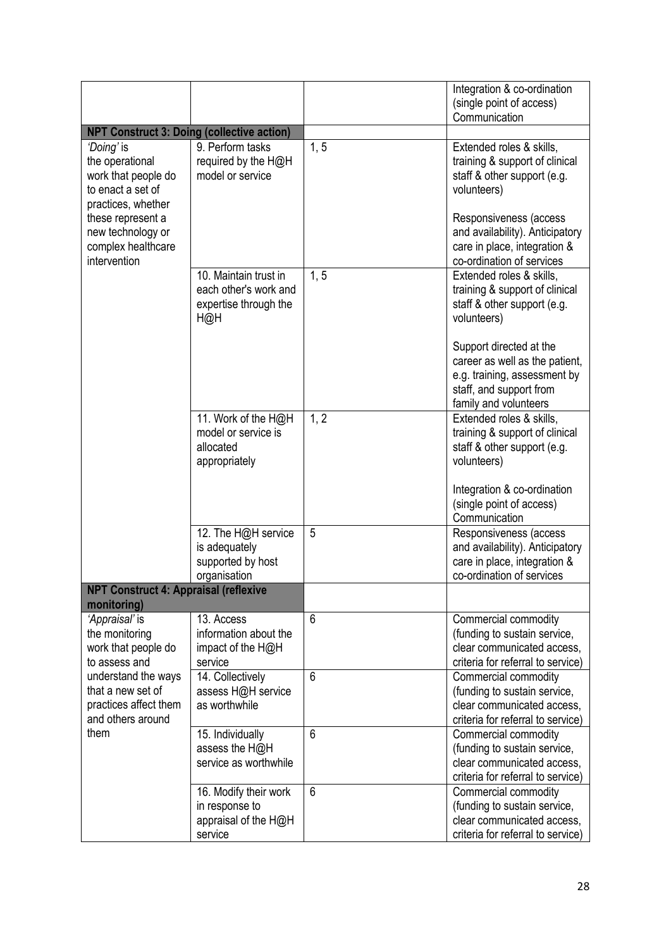|                                                                                                 |                                                                                |      | Integration & co-ordination<br>(single point of access)<br>Communication                                                                      |
|-------------------------------------------------------------------------------------------------|--------------------------------------------------------------------------------|------|-----------------------------------------------------------------------------------------------------------------------------------------------|
| <b>NPT Construct 3: Doing (collective action)</b>                                               |                                                                                |      |                                                                                                                                               |
| 'Doing' is<br>the operational<br>work that people do<br>to enact a set of<br>practices, whether | 9. Perform tasks<br>required by the H@H<br>model or service                    | 1, 5 | Extended roles & skills,<br>training & support of clinical<br>staff & other support (e.g.<br>volunteers)                                      |
| these represent a<br>new technology or<br>complex healthcare<br>intervention                    |                                                                                |      | Responsiveness (access<br>and availability). Anticipatory<br>care in place, integration &<br>co-ordination of services                        |
|                                                                                                 | 10. Maintain trust in<br>each other's work and<br>expertise through the<br>H@H | 1, 5 | Extended roles & skills,<br>training & support of clinical<br>staff & other support (e.g.<br>volunteers)                                      |
|                                                                                                 |                                                                                |      | Support directed at the<br>career as well as the patient,<br>e.g. training, assessment by<br>staff, and support from<br>family and volunteers |
|                                                                                                 | 11. Work of the H@H<br>model or service is<br>allocated<br>appropriately       | 1, 2 | Extended roles & skills,<br>training & support of clinical<br>staff & other support (e.g.<br>volunteers)                                      |
|                                                                                                 |                                                                                |      | Integration & co-ordination<br>(single point of access)<br>Communication                                                                      |
|                                                                                                 | 12. The H@H service<br>is adequately<br>supported by host<br>organisation      | 5    | Responsiveness (access<br>and availability). Anticipatory<br>care in place, integration &<br>co-ordination of services                        |
| <b>NPT Construct 4: Appraisal (reflexive</b><br>monitoring)                                     |                                                                                |      |                                                                                                                                               |
| 'Appraisal' is<br>the monitoring<br>work that people do<br>to assess and                        | 13. Access<br>information about the<br>impact of the H@H<br>service            | 6    | Commercial commodity<br>(funding to sustain service,<br>clear communicated access.<br>criteria for referral to service)                       |
| understand the ways<br>that a new set of<br>practices affect them<br>and others around          | 14. Collectively<br>assess H@H service<br>as worthwhile                        | 6    | Commercial commodity<br>(funding to sustain service,<br>clear communicated access,<br>criteria for referral to service)                       |
| them                                                                                            | 15. Individually<br>assess the H@H<br>service as worthwhile                    | 6    | Commercial commodity<br>(funding to sustain service,<br>clear communicated access,<br>criteria for referral to service)                       |
|                                                                                                 | 16. Modify their work<br>in response to<br>appraisal of the H@H<br>service     | 6    | Commercial commodity<br>(funding to sustain service,<br>clear communicated access,<br>criteria for referral to service)                       |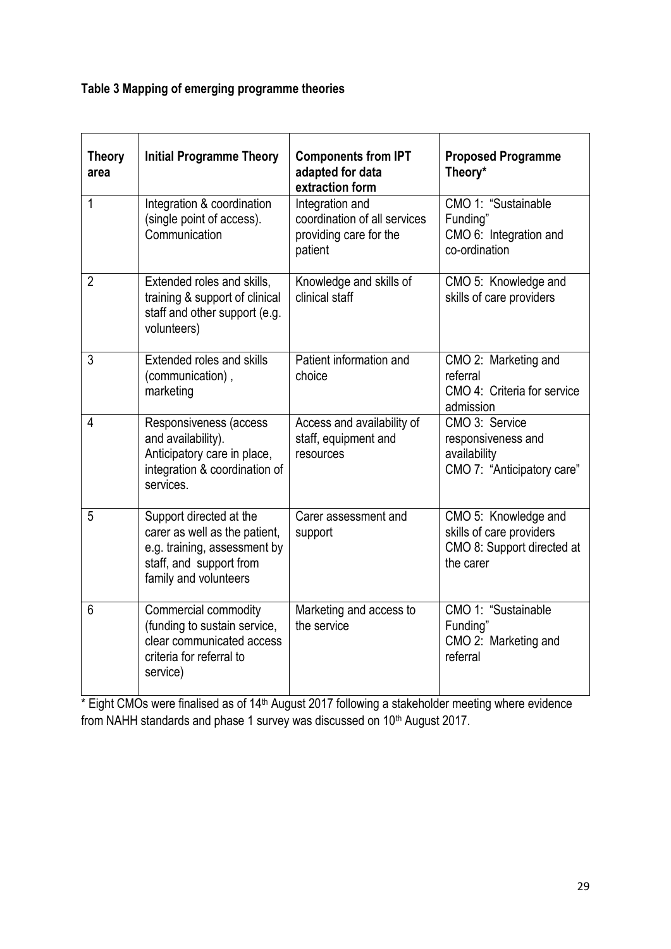### **Table 3 Mapping of emerging programme theories**

| <b>Theory</b><br>area | <b>Initial Programme Theory</b>                                                                                                              | <b>Components from IPT</b><br>adapted for data<br>extraction form                    | <b>Proposed Programme</b><br>Theory*                                                        |
|-----------------------|----------------------------------------------------------------------------------------------------------------------------------------------|--------------------------------------------------------------------------------------|---------------------------------------------------------------------------------------------|
| 1                     | Integration & coordination<br>(single point of access).<br>Communication                                                                     | Integration and<br>coordination of all services<br>providing care for the<br>patient | CMO 1: "Sustainable<br>Funding"<br>CMO 6: Integration and<br>co-ordination                  |
| $\overline{2}$        | Extended roles and skills,<br>training & support of clinical<br>staff and other support (e.g.<br>volunteers)                                 | Knowledge and skills of<br>clinical staff                                            | CMO 5: Knowledge and<br>skills of care providers                                            |
| 3                     | Extended roles and skills<br>(communication),<br>marketing                                                                                   | Patient information and<br>choice                                                    | CMO 2: Marketing and<br>referral<br>CMO 4: Criteria for service<br>admission                |
| $\overline{4}$        | Responsiveness (access<br>and availability).<br>Anticipatory care in place,<br>integration & coordination of<br>services.                    | Access and availability of<br>staff, equipment and<br>resources                      | CMO 3: Service<br>responsiveness and<br>availability<br>CMO 7: "Anticipatory care"          |
| 5                     | Support directed at the<br>carer as well as the patient,<br>e.g. training, assessment by<br>staff, and support from<br>family and volunteers | Carer assessment and<br>support                                                      | CMO 5: Knowledge and<br>skills of care providers<br>CMO 8: Support directed at<br>the carer |
| 6                     | Commercial commodity<br>(funding to sustain service,<br>clear communicated access<br>criteria for referral to<br>service)                    | Marketing and access to<br>the service                                               | CMO 1: "Sustainable<br>Funding"<br>CMO 2: Marketing and<br>referral                         |

\* Eight CMOs were finalised as of 14<sup>th</sup> August 2017 following a stakeholder meeting where evidence from NAHH standards and phase 1 survey was discussed on  $10<sup>th</sup>$  August 2017.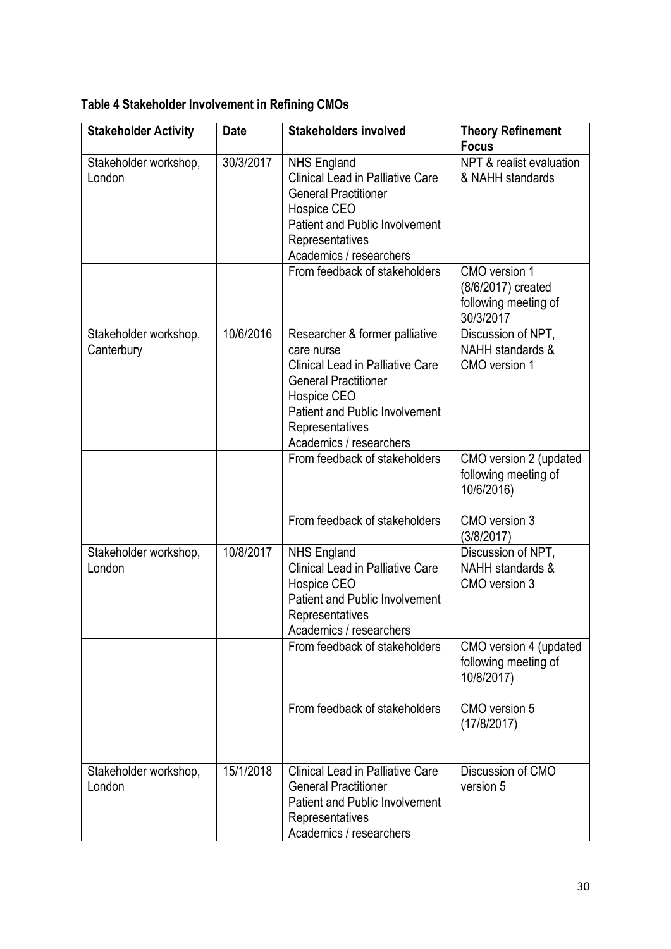| <b>Stakeholder Activity</b>         | <b>Date</b> | <b>Stakeholders involved</b>                                                                                                                                                                                                 | <b>Theory Refinement</b><br><b>Focus</b>                                                     |
|-------------------------------------|-------------|------------------------------------------------------------------------------------------------------------------------------------------------------------------------------------------------------------------------------|----------------------------------------------------------------------------------------------|
| Stakeholder workshop,<br>London     | 30/3/2017   | <b>NHS England</b><br><b>Clinical Lead in Palliative Care</b><br><b>General Practitioner</b><br>Hospice CEO<br><b>Patient and Public Involvement</b><br>Representatives<br>Academics / researchers                           | NPT & realist evaluation<br>& NAHH standards                                                 |
|                                     |             | From feedback of stakeholders                                                                                                                                                                                                | CMO version 1<br>(8/6/2017) created<br>following meeting of<br>30/3/2017                     |
| Stakeholder workshop,<br>Canterbury | 10/6/2016   | Researcher & former palliative<br>care nurse<br><b>Clinical Lead in Palliative Care</b><br><b>General Practitioner</b><br>Hospice CEO<br><b>Patient and Public Involvement</b><br>Representatives<br>Academics / researchers | Discussion of NPT,<br>NAHH standards &<br>CMO version 1                                      |
|                                     |             | From feedback of stakeholders<br>From feedback of stakeholders                                                                                                                                                               | CMO version 2 (updated<br>following meeting of<br>10/6/2016)<br>CMO version 3                |
| Stakeholder workshop,<br>London     | 10/8/2017   | <b>NHS England</b><br><b>Clinical Lead in Palliative Care</b><br>Hospice CEO<br><b>Patient and Public Involvement</b><br>Representatives<br>Academics / researchers                                                          | (3/8/2017)<br>Discussion of NPT,<br>NAHH standards &<br>CMO version 3                        |
|                                     |             | From feedback of stakeholders<br>From feedback of stakeholders                                                                                                                                                               | CMO version 4 (updated<br>following meeting of<br>10/8/2017)<br>CMO version 5<br>(17/8/2017) |
| Stakeholder workshop,<br>London     | 15/1/2018   | <b>Clinical Lead in Palliative Care</b><br><b>General Practitioner</b><br><b>Patient and Public Involvement</b><br>Representatives<br>Academics / researchers                                                                | Discussion of CMO<br>version 5                                                               |

**Table 4 Stakeholder Involvement in Refining CMOs**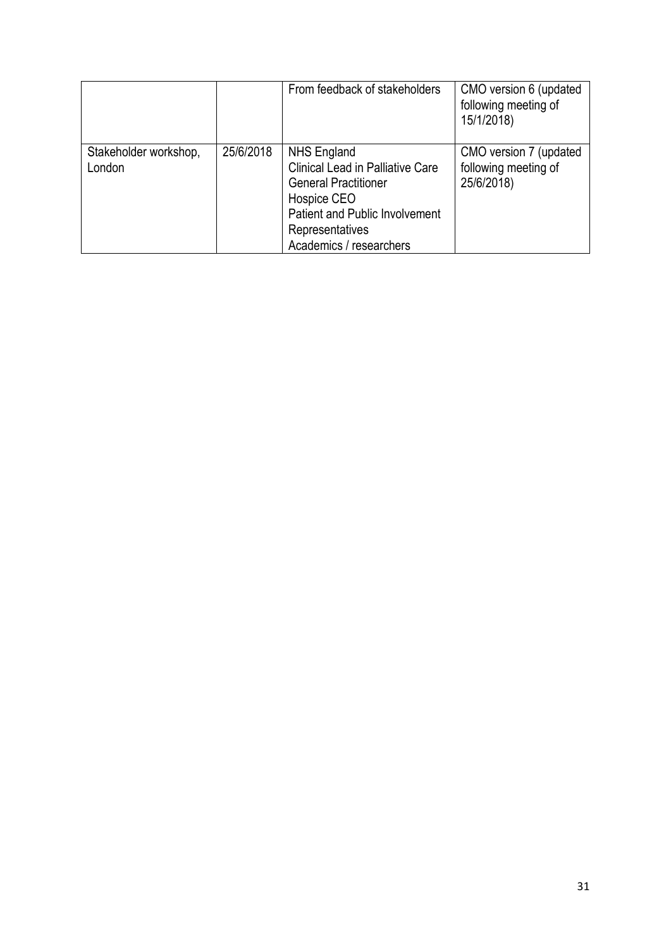|                                 |           | From feedback of stakeholders                                                                                                                                                               | CMO version 6 (updated<br>following meeting of<br>15/1/2018) |
|---------------------------------|-----------|---------------------------------------------------------------------------------------------------------------------------------------------------------------------------------------------|--------------------------------------------------------------|
| Stakeholder workshop,<br>London | 25/6/2018 | NHS England<br><b>Clinical Lead in Palliative Care</b><br><b>General Practitioner</b><br>Hospice CEO<br><b>Patient and Public Involvement</b><br>Representatives<br>Academics / researchers | CMO version 7 (updated<br>following meeting of<br>25/6/2018) |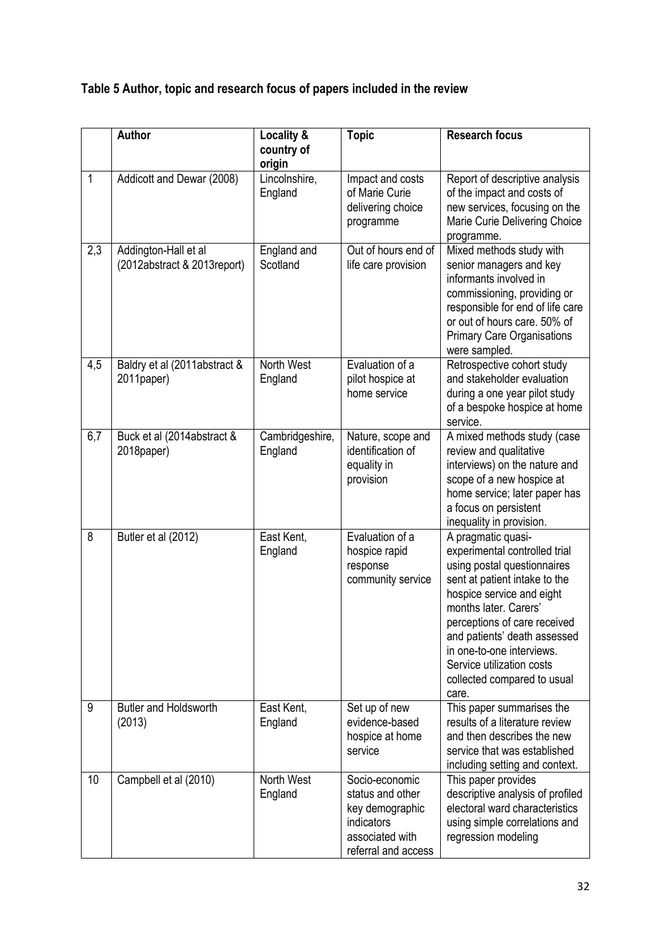### **Table 5 Author, topic and research focus of papers included in the review**

|     | Author                                              | Locality &<br>country of<br>origin | <b>Topic</b>                                                                                                  | <b>Research focus</b>                                                                                                                                                                                                                                                                                                                       |
|-----|-----------------------------------------------------|------------------------------------|---------------------------------------------------------------------------------------------------------------|---------------------------------------------------------------------------------------------------------------------------------------------------------------------------------------------------------------------------------------------------------------------------------------------------------------------------------------------|
| 1   | Addicott and Dewar (2008)                           | Lincolnshire,<br>England           | Impact and costs<br>of Marie Curie<br>delivering choice<br>programme                                          | Report of descriptive analysis<br>of the impact and costs of<br>new services, focusing on the<br>Marie Curie Delivering Choice<br>programme.                                                                                                                                                                                                |
| 2,3 | Addington-Hall et al<br>(2012abstract & 2013report) | England and<br>Scotland            | Out of hours end of<br>life care provision                                                                    | Mixed methods study with<br>senior managers and key<br>informants involved in<br>commissioning, providing or<br>responsible for end of life care<br>or out of hours care. 50% of<br><b>Primary Care Organisations</b><br>were sampled.                                                                                                      |
| 4,5 | Baldry et al (2011abstract &<br>2011paper)          | North West<br>England              | Evaluation of a<br>pilot hospice at<br>home service                                                           | Retrospective cohort study<br>and stakeholder evaluation<br>during a one year pilot study<br>of a bespoke hospice at home<br>service.                                                                                                                                                                                                       |
| 6,7 | Buck et al (2014abstract &<br>2018paper)            | Cambridgeshire,<br>England         | Nature, scope and<br>identification of<br>equality in<br>provision                                            | A mixed methods study (case<br>review and qualitative<br>interviews) on the nature and<br>scope of a new hospice at<br>home service; later paper has<br>a focus on persistent<br>inequality in provision.                                                                                                                                   |
| 8   | Butler et al (2012)                                 | East Kent,<br>England              | Evaluation of a<br>hospice rapid<br>response<br>community service                                             | A pragmatic quasi-<br>experimental controlled trial<br>using postal questionnaires<br>sent at patient intake to the<br>hospice service and eight<br>months later. Carers'<br>perceptions of care received<br>and patients' death assessed<br>in one-to-one interviews.<br>Service utilization costs<br>collected compared to usual<br>care. |
| 9   | <b>Butler and Holdsworth</b><br>(2013)              | East Kent,<br>England              | Set up of new<br>evidence-based<br>hospice at home<br>service                                                 | This paper summarises the<br>results of a literature review<br>and then describes the new<br>service that was established<br>including setting and context.                                                                                                                                                                                 |
| 10  | Campbell et al (2010)                               | North West<br>England              | Socio-economic<br>status and other<br>key demographic<br>indicators<br>associated with<br>referral and access | This paper provides<br>descriptive analysis of profiled<br>electoral ward characteristics<br>using simple correlations and<br>regression modeling                                                                                                                                                                                           |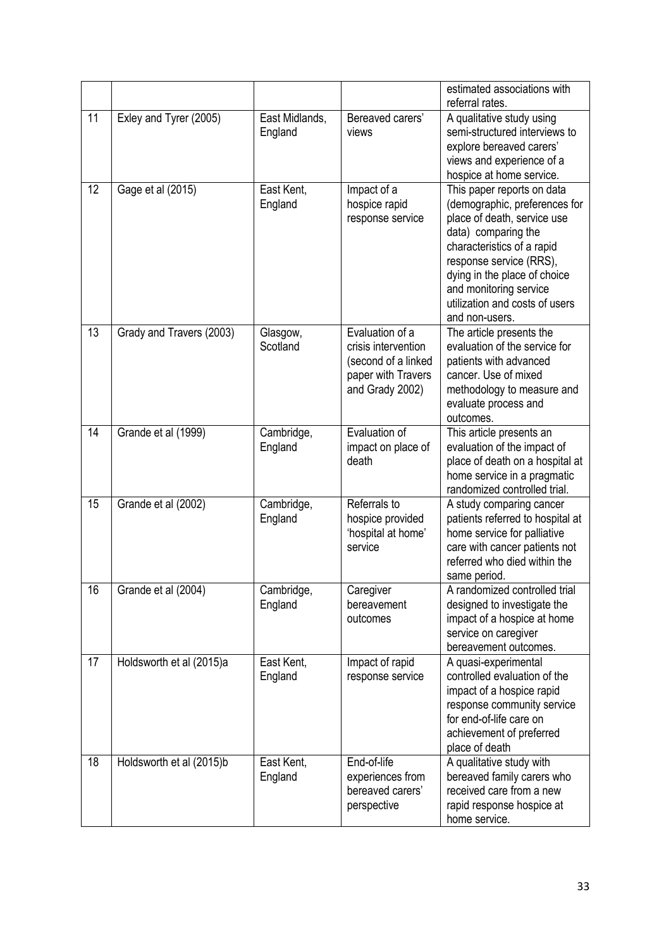|                 |                          |                           |                                                                                                        | estimated associations with<br>referral rates.                                                                                                                                                                                                                                           |
|-----------------|--------------------------|---------------------------|--------------------------------------------------------------------------------------------------------|------------------------------------------------------------------------------------------------------------------------------------------------------------------------------------------------------------------------------------------------------------------------------------------|
| $\overline{11}$ | Exley and Tyrer (2005)   | East Midlands,<br>England | Bereaved carers'<br>views                                                                              | A qualitative study using<br>semi-structured interviews to<br>explore bereaved carers'<br>views and experience of a<br>hospice at home service.                                                                                                                                          |
| 12              | Gage et al (2015)        | East Kent,<br>England     | Impact of a<br>hospice rapid<br>response service                                                       | This paper reports on data<br>(demographic, preferences for<br>place of death, service use<br>data) comparing the<br>characteristics of a rapid<br>response service (RRS),<br>dying in the place of choice<br>and monitoring service<br>utilization and costs of users<br>and non-users. |
| 13              | Grady and Travers (2003) | Glasgow,<br>Scotland      | Evaluation of a<br>crisis intervention<br>(second of a linked<br>paper with Travers<br>and Grady 2002) | The article presents the<br>evaluation of the service for<br>patients with advanced<br>cancer. Use of mixed<br>methodology to measure and<br>evaluate process and<br>outcomes.                                                                                                           |
| 14              | Grande et al (1999)      | Cambridge,<br>England     | Evaluation of<br>impact on place of<br>death                                                           | This article presents an<br>evaluation of the impact of<br>place of death on a hospital at<br>home service in a pragmatic<br>randomized controlled trial.                                                                                                                                |
| 15              | Grande et al (2002)      | Cambridge,<br>England     | Referrals to<br>hospice provided<br>'hospital at home'<br>service                                      | A study comparing cancer<br>patients referred to hospital at<br>home service for palliative<br>care with cancer patients not<br>referred who died within the<br>same period.                                                                                                             |
| 16              | Grande et al (2004)      | Cambridge,<br>England     | Caregiver<br>bereavement<br>outcomes                                                                   | A randomized controlled trial<br>designed to investigate the<br>impact of a hospice at home<br>service on caregiver<br>bereavement outcomes.                                                                                                                                             |
| 17              | Holdsworth et al (2015)a | East Kent,<br>England     | Impact of rapid<br>response service                                                                    | A quasi-experimental<br>controlled evaluation of the<br>impact of a hospice rapid<br>response community service<br>for end-of-life care on<br>achievement of preferred<br>place of death                                                                                                 |
| 18              | Holdsworth et al (2015)b | East Kent,<br>England     | End-of-life<br>experiences from<br>bereaved carers'<br>perspective                                     | A qualitative study with<br>bereaved family carers who<br>received care from a new<br>rapid response hospice at<br>home service.                                                                                                                                                         |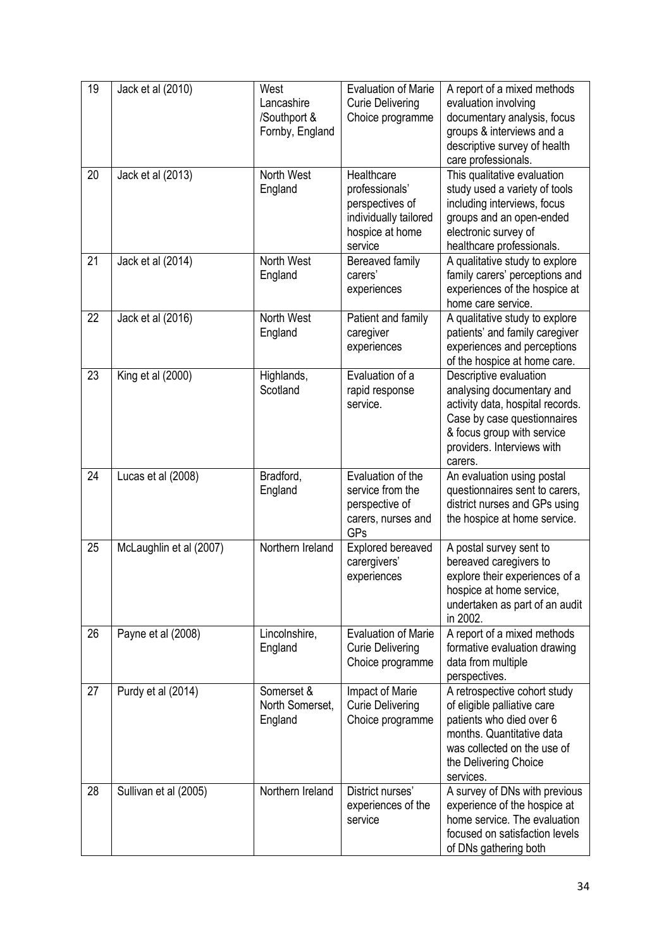| 19              | Jack et al (2010)       | West<br>Lancashire<br>/Southport &<br>Fornby, England | <b>Evaluation of Marie</b><br><b>Curie Delivering</b><br>Choice programme                              | A report of a mixed methods<br>evaluation involving<br>documentary analysis, focus<br>groups & interviews and a<br>descriptive survey of health<br>care professionals.                        |
|-----------------|-------------------------|-------------------------------------------------------|--------------------------------------------------------------------------------------------------------|-----------------------------------------------------------------------------------------------------------------------------------------------------------------------------------------------|
| 20              | Jack et al (2013)       | North West<br>England                                 | Healthcare<br>professionals'<br>perspectives of<br>individually tailored<br>hospice at home<br>service | This qualitative evaluation<br>study used a variety of tools<br>including interviews, focus<br>groups and an open-ended<br>electronic survey of<br>healthcare professionals.                  |
| $\overline{21}$ | Jack et al (2014)       | <b>North West</b><br>England                          | Bereaved family<br>carers'<br>experiences                                                              | A qualitative study to explore<br>family carers' perceptions and<br>experiences of the hospice at<br>home care service.                                                                       |
| 22              | Jack et al (2016)       | North West<br>England                                 | Patient and family<br>caregiver<br>experiences                                                         | A qualitative study to explore<br>patients' and family caregiver<br>experiences and perceptions<br>of the hospice at home care.                                                               |
| 23              | King et al (2000)       | Highlands,<br>Scotland                                | Evaluation of a<br>rapid response<br>service.                                                          | Descriptive evaluation<br>analysing documentary and<br>activity data, hospital records.<br>Case by case questionnaires<br>& focus group with service<br>providers. Interviews with<br>carers. |
| 24              | Lucas et al (2008)      | Bradford,<br>England                                  | Evaluation of the<br>service from the<br>perspective of<br>carers, nurses and<br>GPs                   | An evaluation using postal<br>questionnaires sent to carers,<br>district nurses and GPs using<br>the hospice at home service.                                                                 |
| 25              | McLaughlin et al (2007) | Northern Ireland                                      | Explored bereaved<br>carergivers'<br>experiences                                                       | A postal survey sent to<br>bereaved caregivers to<br>explore their experiences of a<br>hospice at home service,<br>undertaken as part of an audit<br>in 2002.                                 |
| 26              | Payne et al (2008)      | Lincolnshire,<br>England                              | <b>Evaluation of Marie</b><br><b>Curie Delivering</b><br>Choice programme                              | A report of a mixed methods<br>formative evaluation drawing<br>data from multiple<br>perspectives.                                                                                            |
| 27              | Purdy et al (2014)      | Somerset &<br>North Somerset,<br>England              | Impact of Marie<br><b>Curie Delivering</b><br>Choice programme                                         | A retrospective cohort study<br>of eligible palliative care<br>patients who died over 6<br>months. Quantitative data<br>was collected on the use of<br>the Delivering Choice<br>services.     |
| 28              | Sullivan et al (2005)   | Northern Ireland                                      | District nurses'<br>experiences of the<br>service                                                      | A survey of DNs with previous<br>experience of the hospice at<br>home service. The evaluation<br>focused on satisfaction levels<br>of DNs gathering both                                      |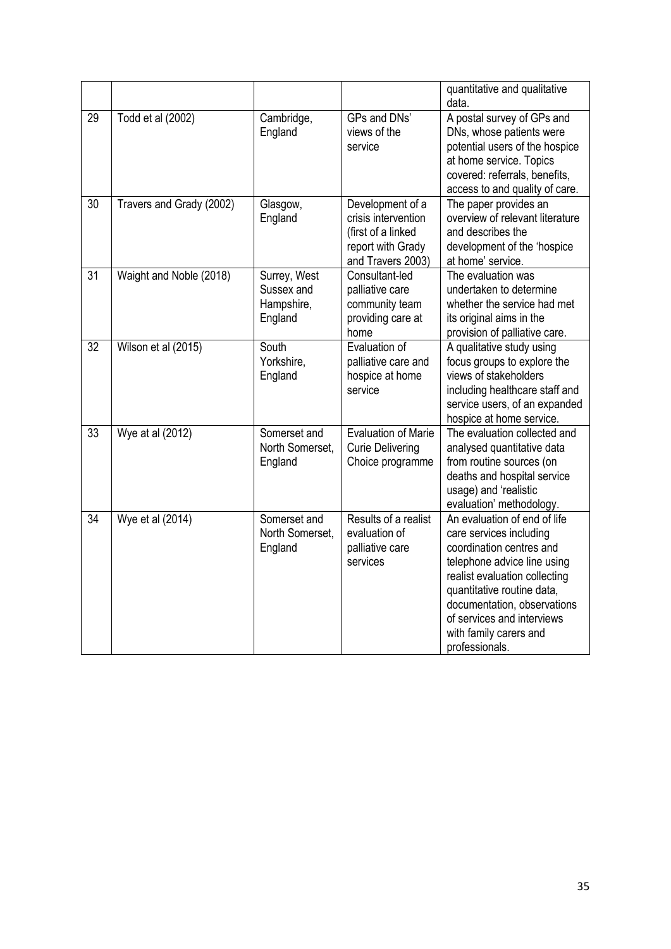|                 |                          |                                                     |                                                                                                         | quantitative and qualitative<br>data.                                                                                                                                                                                                                                                      |
|-----------------|--------------------------|-----------------------------------------------------|---------------------------------------------------------------------------------------------------------|--------------------------------------------------------------------------------------------------------------------------------------------------------------------------------------------------------------------------------------------------------------------------------------------|
| 29              | Todd et al (2002)        | Cambridge,<br>England                               | GPs and DNs'<br>views of the<br>service                                                                 | A postal survey of GPs and<br>DNs, whose patients were<br>potential users of the hospice<br>at home service. Topics<br>covered: referrals, benefits,<br>access to and quality of care.                                                                                                     |
| 30              | Travers and Grady (2002) | Glasgow,<br>England                                 | Development of a<br>crisis intervention<br>(first of a linked<br>report with Grady<br>and Travers 2003) | The paper provides an<br>overview of relevant literature<br>and describes the<br>development of the 'hospice<br>at home' service.                                                                                                                                                          |
| $\overline{31}$ | Waight and Noble (2018)  | Surrey, West<br>Sussex and<br>Hampshire,<br>England | Consultant-led<br>palliative care<br>community team<br>providing care at<br>home                        | The evaluation was<br>undertaken to determine<br>whether the service had met<br>its original aims in the<br>provision of palliative care.                                                                                                                                                  |
| $\overline{32}$ | Wilson et al (2015)      | South<br>Yorkshire,<br>England                      | Evaluation of<br>palliative care and<br>hospice at home<br>service                                      | A qualitative study using<br>focus groups to explore the<br>views of stakeholders<br>including healthcare staff and<br>service users, of an expanded<br>hospice at home service.                                                                                                           |
| 33              | Wye at al (2012)         | Somerset and<br>North Somerset,<br>England          | <b>Evaluation of Marie</b><br><b>Curie Delivering</b><br>Choice programme                               | The evaluation collected and<br>analysed quantitative data<br>from routine sources (on<br>deaths and hospital service<br>usage) and 'realistic<br>evaluation' methodology.                                                                                                                 |
| 34              | Wye et al (2014)         | Somerset and<br>North Somerset,<br>England          | Results of a realist<br>evaluation of<br>palliative care<br>services                                    | An evaluation of end of life<br>care services including<br>coordination centres and<br>telephone advice line using<br>realist evaluation collecting<br>quantitative routine data,<br>documentation, observations<br>of services and interviews<br>with family carers and<br>professionals. |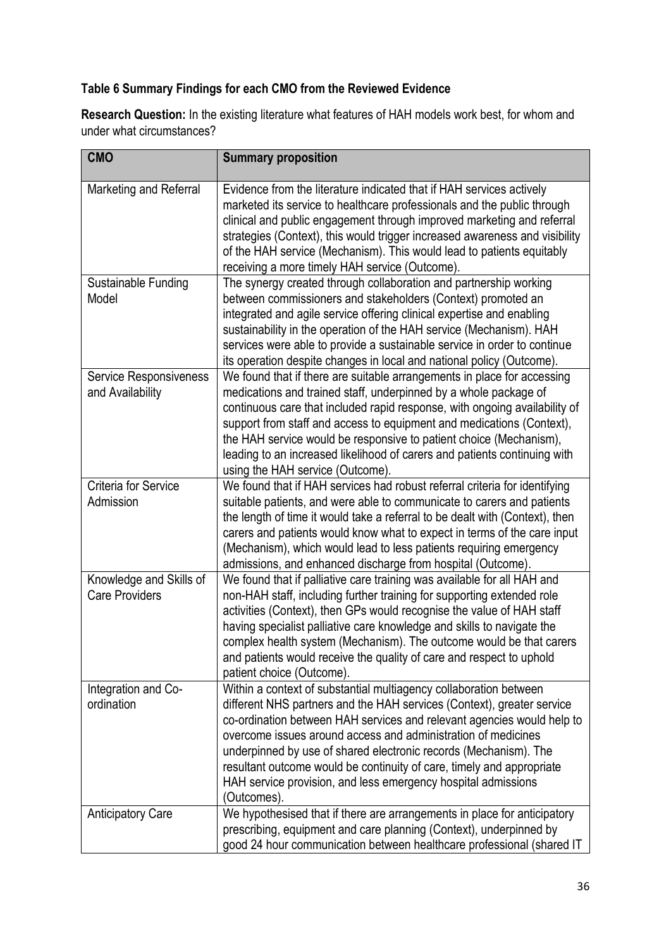### **Table 6 Summary Findings for each CMO from the Reviewed Evidence**

**Research Question:** In the existing literature what features of HAH models work best, for whom and under what circumstances?

| <b>CMO</b>                                        | <b>Summary proposition</b>                                                                                                                                                                                                                                                                                                                                                                                                                                                                                          |
|---------------------------------------------------|---------------------------------------------------------------------------------------------------------------------------------------------------------------------------------------------------------------------------------------------------------------------------------------------------------------------------------------------------------------------------------------------------------------------------------------------------------------------------------------------------------------------|
| Marketing and Referral                            | Evidence from the literature indicated that if HAH services actively<br>marketed its service to healthcare professionals and the public through<br>clinical and public engagement through improved marketing and referral<br>strategies (Context), this would trigger increased awareness and visibility<br>of the HAH service (Mechanism). This would lead to patients equitably<br>receiving a more timely HAH service (Outcome).                                                                                 |
| Sustainable Funding<br>Model                      | The synergy created through collaboration and partnership working<br>between commissioners and stakeholders (Context) promoted an<br>integrated and agile service offering clinical expertise and enabling<br>sustainability in the operation of the HAH service (Mechanism). HAH<br>services were able to provide a sustainable service in order to continue<br>its operation despite changes in local and national policy (Outcome).                                                                              |
| <b>Service Responsiveness</b><br>and Availability | We found that if there are suitable arrangements in place for accessing<br>medications and trained staff, underpinned by a whole package of<br>continuous care that included rapid response, with ongoing availability of<br>support from staff and access to equipment and medications (Context),<br>the HAH service would be responsive to patient choice (Mechanism),<br>leading to an increased likelihood of carers and patients continuing with<br>using the HAH service (Outcome).                           |
| <b>Criteria for Service</b><br>Admission          | We found that if HAH services had robust referral criteria for identifying<br>suitable patients, and were able to communicate to carers and patients<br>the length of time it would take a referral to be dealt with (Context), then<br>carers and patients would know what to expect in terms of the care input<br>(Mechanism), which would lead to less patients requiring emergency<br>admissions, and enhanced discharge from hospital (Outcome).                                                               |
| Knowledge and Skills of<br><b>Care Providers</b>  | We found that if palliative care training was available for all HAH and<br>non-HAH staff, including further training for supporting extended role<br>activities (Context), then GPs would recognise the value of HAH staff<br>having specialist palliative care knowledge and skills to navigate the<br>complex health system (Mechanism). The outcome would be that carers<br>and patients would receive the quality of care and respect to uphold<br>patient choice (Outcome).                                    |
| Integration and Co-<br>ordination                 | Within a context of substantial multiagency collaboration between<br>different NHS partners and the HAH services (Context), greater service<br>co-ordination between HAH services and relevant agencies would help to<br>overcome issues around access and administration of medicines<br>underpinned by use of shared electronic records (Mechanism). The<br>resultant outcome would be continuity of care, timely and appropriate<br>HAH service provision, and less emergency hospital admissions<br>(Outcomes). |
| <b>Anticipatory Care</b>                          | We hypothesised that if there are arrangements in place for anticipatory<br>prescribing, equipment and care planning (Context), underpinned by<br>good 24 hour communication between healthcare professional (shared IT                                                                                                                                                                                                                                                                                             |